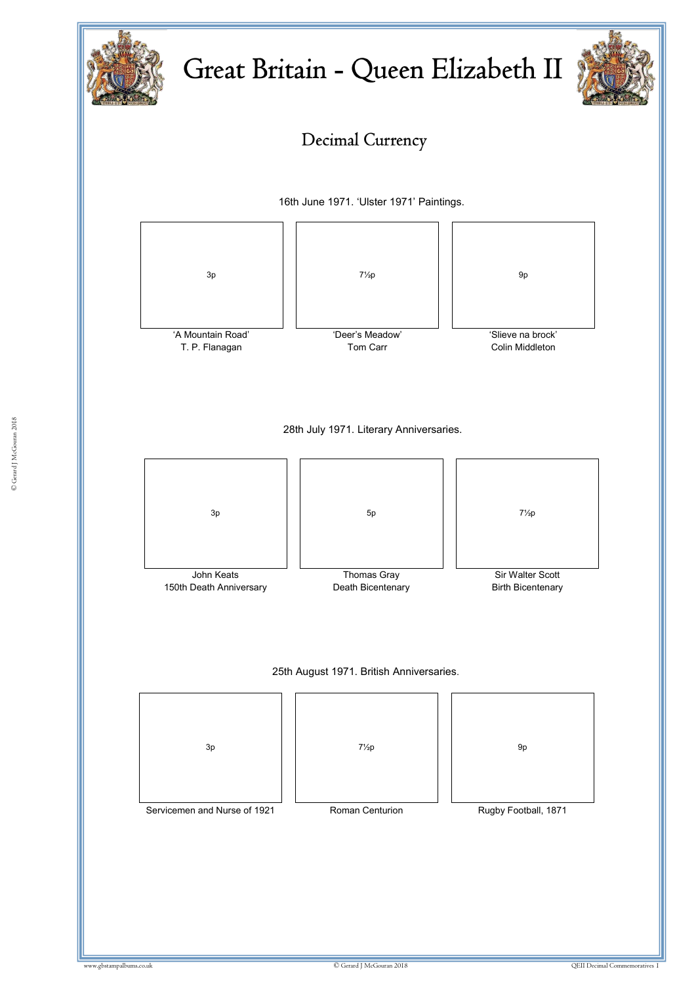



# Decimal Currency

16th June 1971. 'Ulster 1971' Paintings.

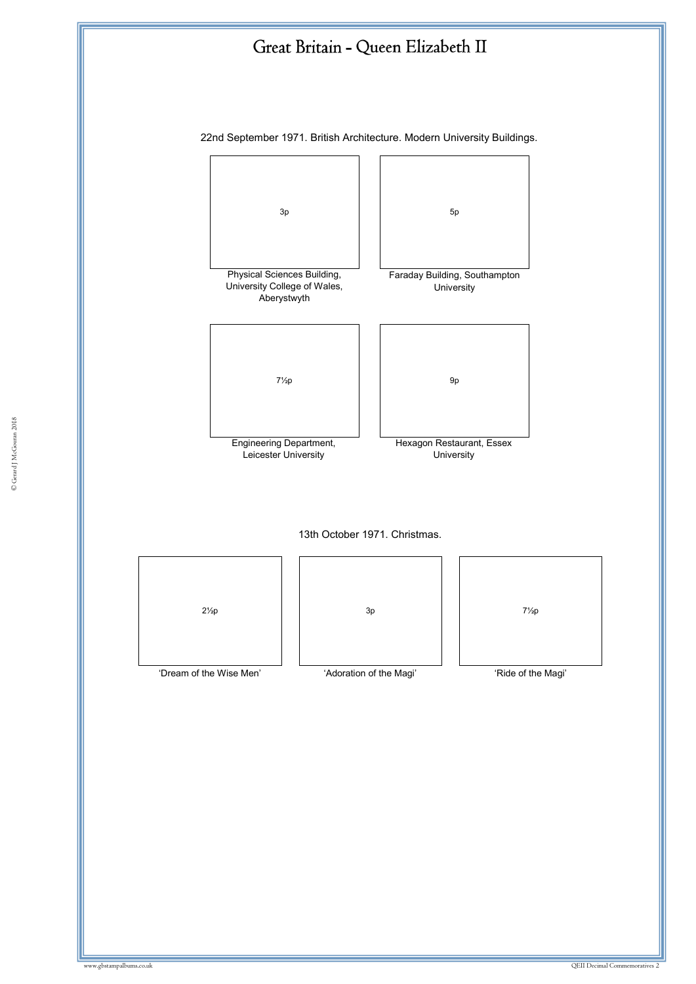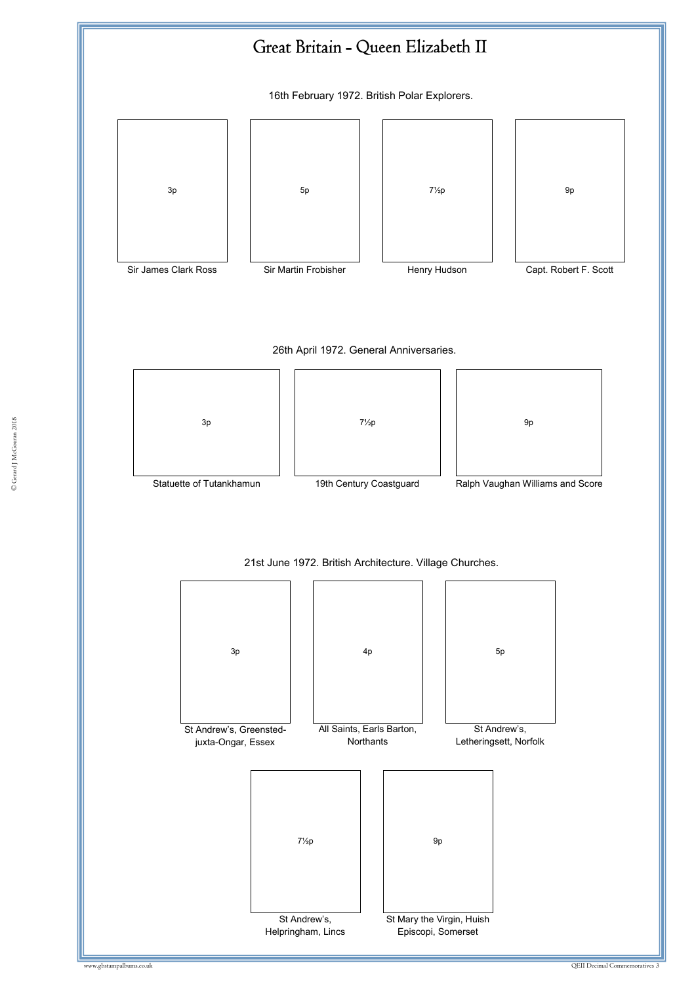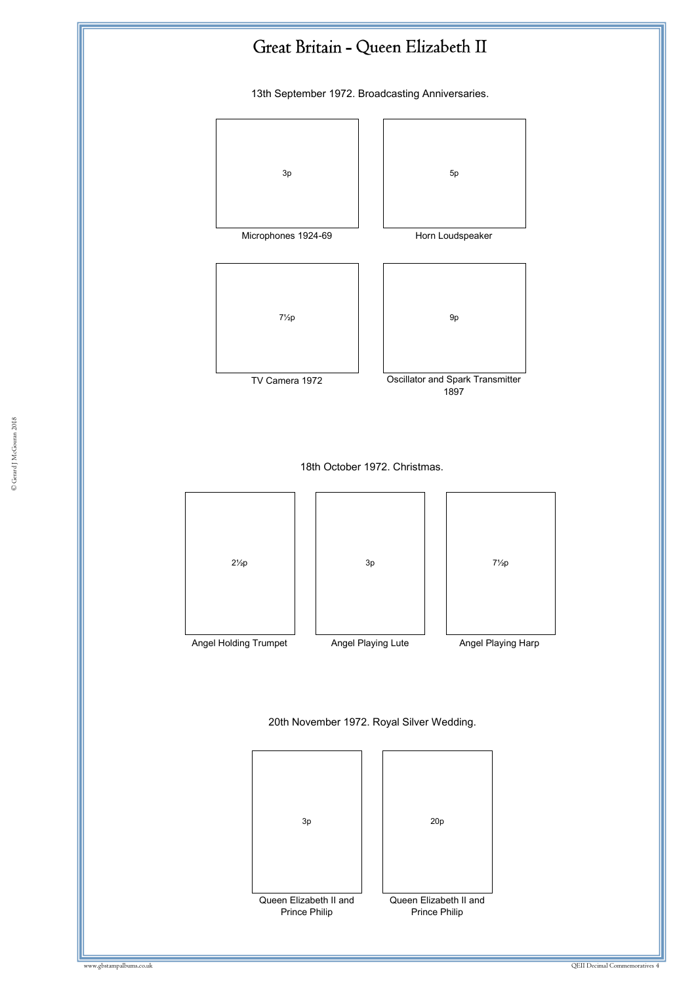

13th September 1972. Broadcasting Anniversaries.



Queen Elizabeth II and Prince Philip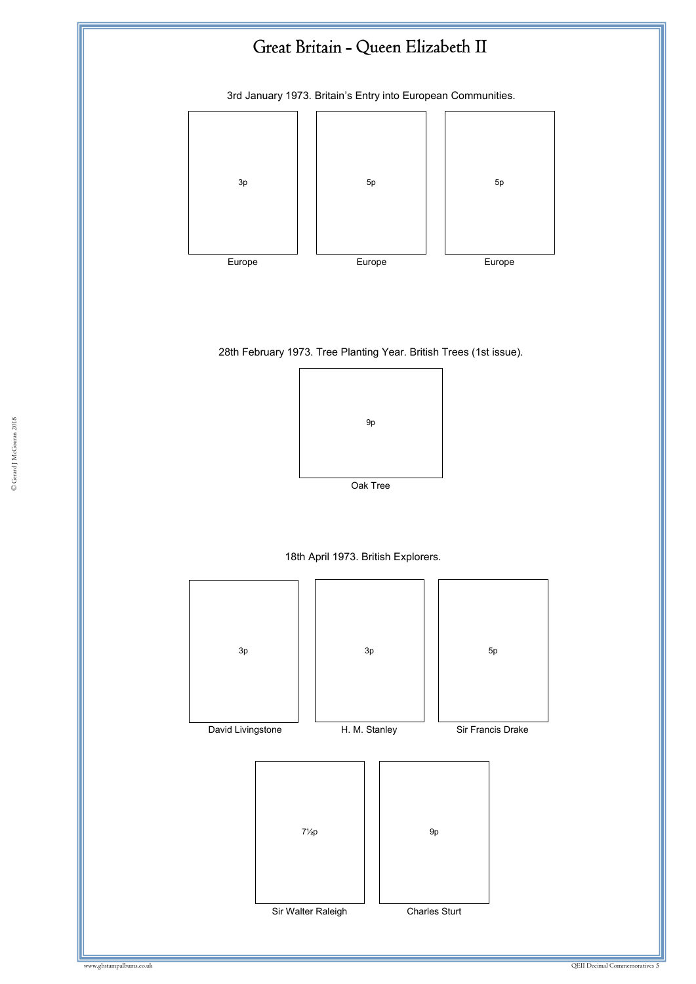3rd January 1973. Britain's Entry into European Communities.



28th February 1973. Tree Planting Year. British Trees (1st issue).



18th April 1973. British Explorers.



© Gerard J McGouran 2018 © Gerard J McGouran 2018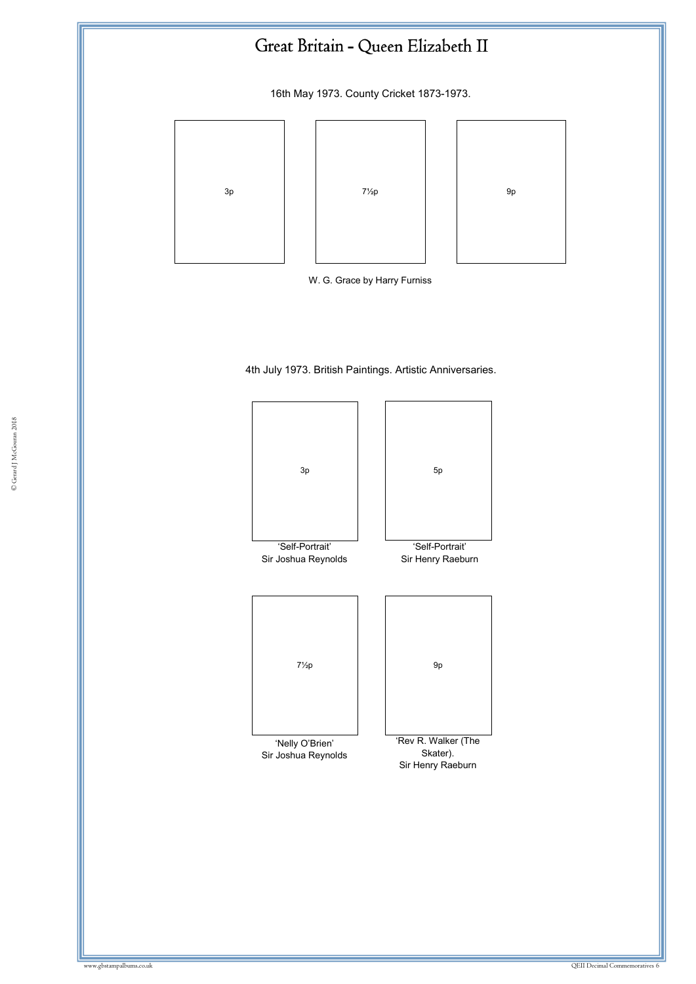16th May 1973. County Cricket 1873-1973.





4th July 1973. British Paintings. Artistic Anniversaries.

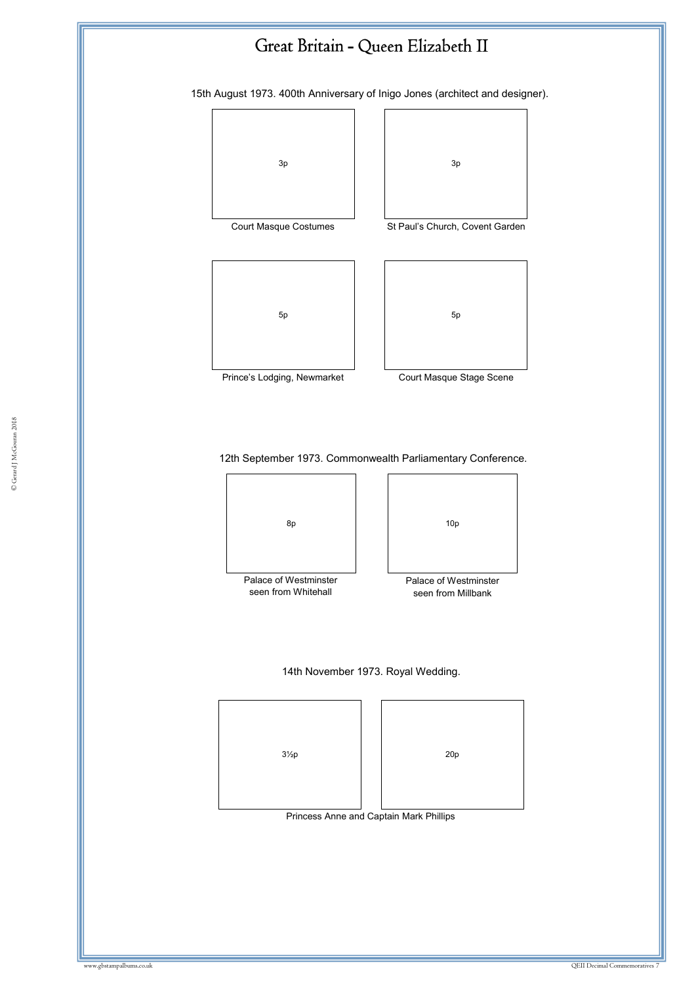15th August 1973. 400th Anniversary of Inigo Jones (architect and designer).





Court Masque Costumes St Paul's Church, Covent Garden



Prince's Lodging, Newmarket Court Masque Stage Scene



14th November 1973. Royal Wedding.

 $3\frac{1}{2}p$  20p

Princess Anne and Captain Mark Phillips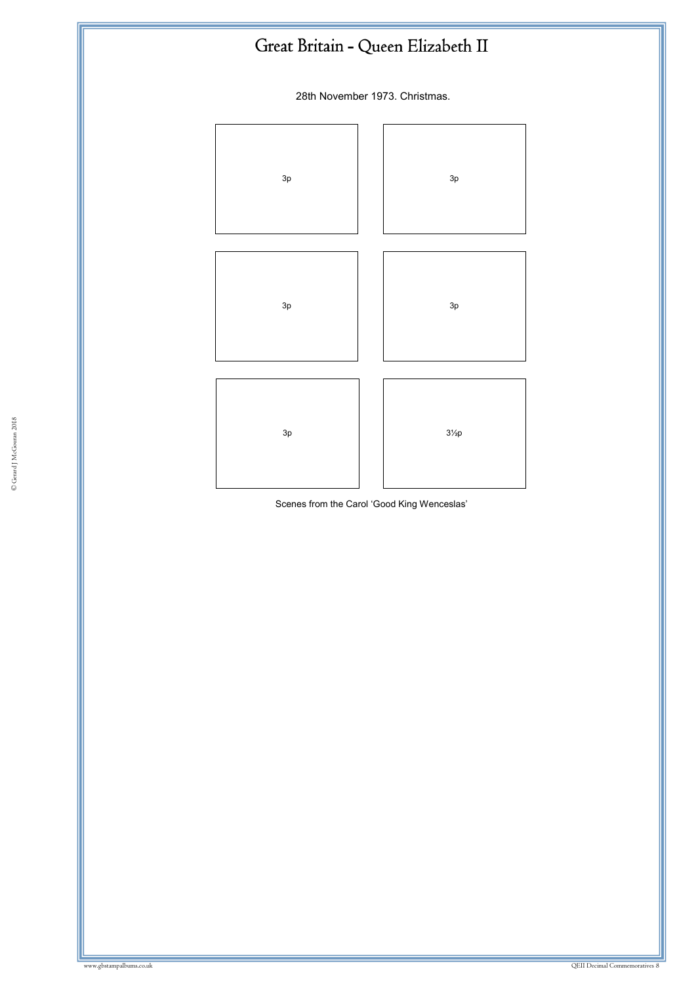28th November 1973. Christmas.



Scenes from the Carol 'Good King Wenceslas'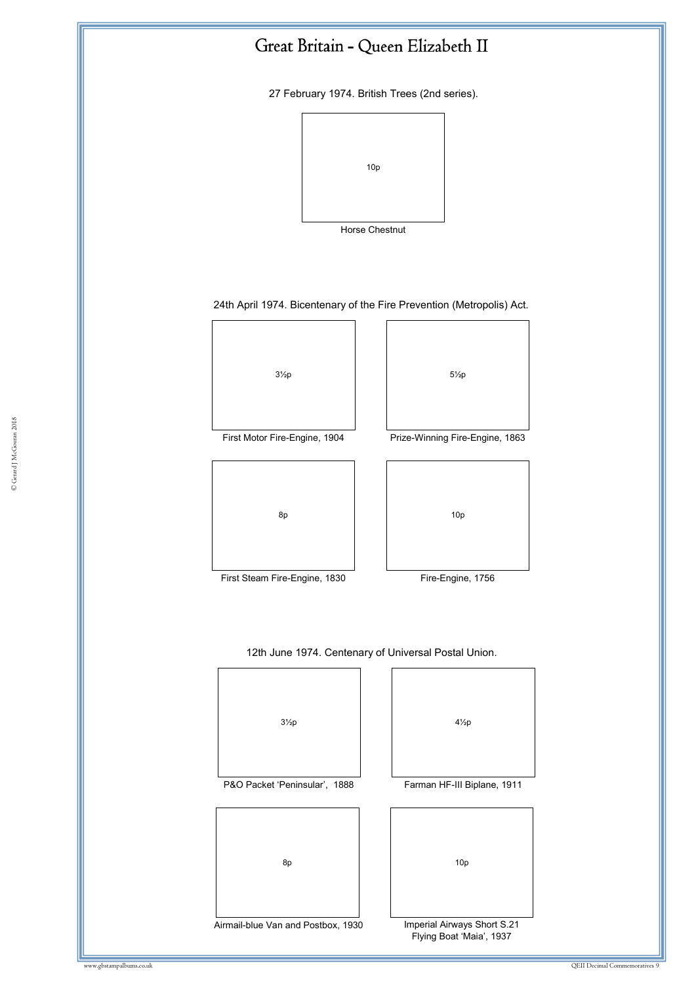27 February 1974. British Trees (2nd series).



24th April 1974. Bicentenary of the Fire Prevention (Metropolis) Act.



Airmail-blue Van and Postbox, 1930

Imperial Airways Short S.21 Flying Boat 'Maia', 1937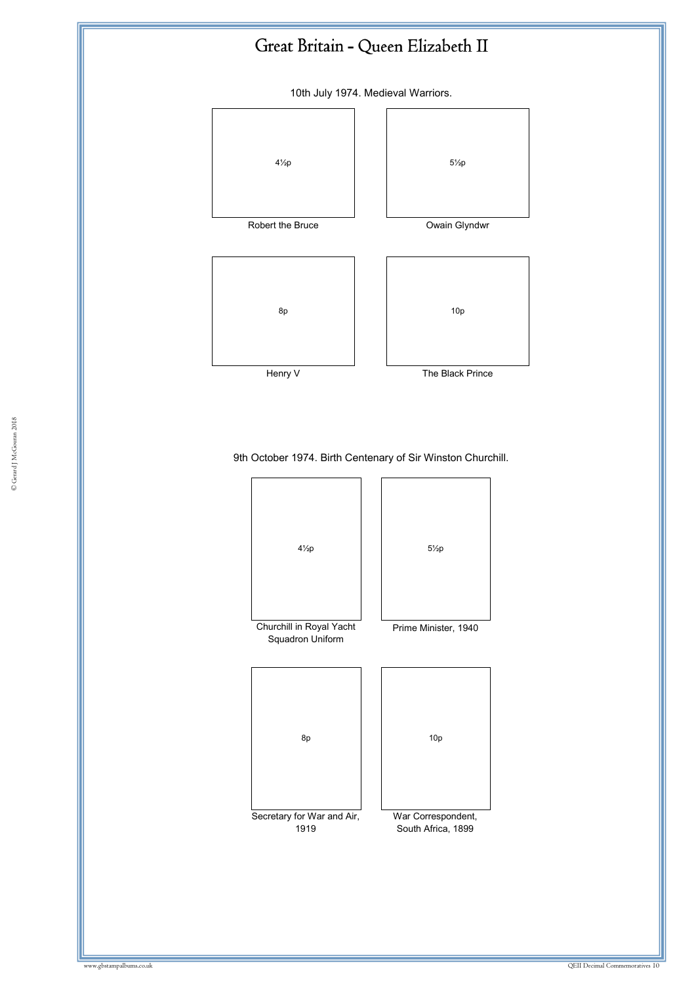

South Africa, 1899

1919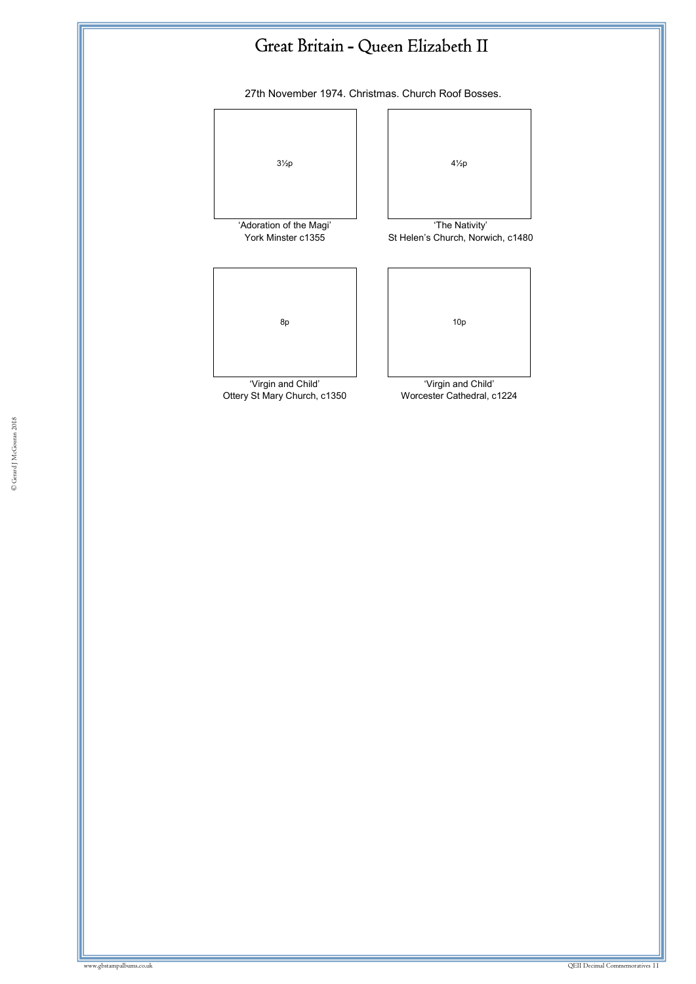27th November 1974. Christmas. Church Roof Bosses.



'Virgin and Child' Ottery St Mary Church, c1350



St Helen's Church, Norwich, c1480



'Virgin and Child' Worcester Cathedral, c1224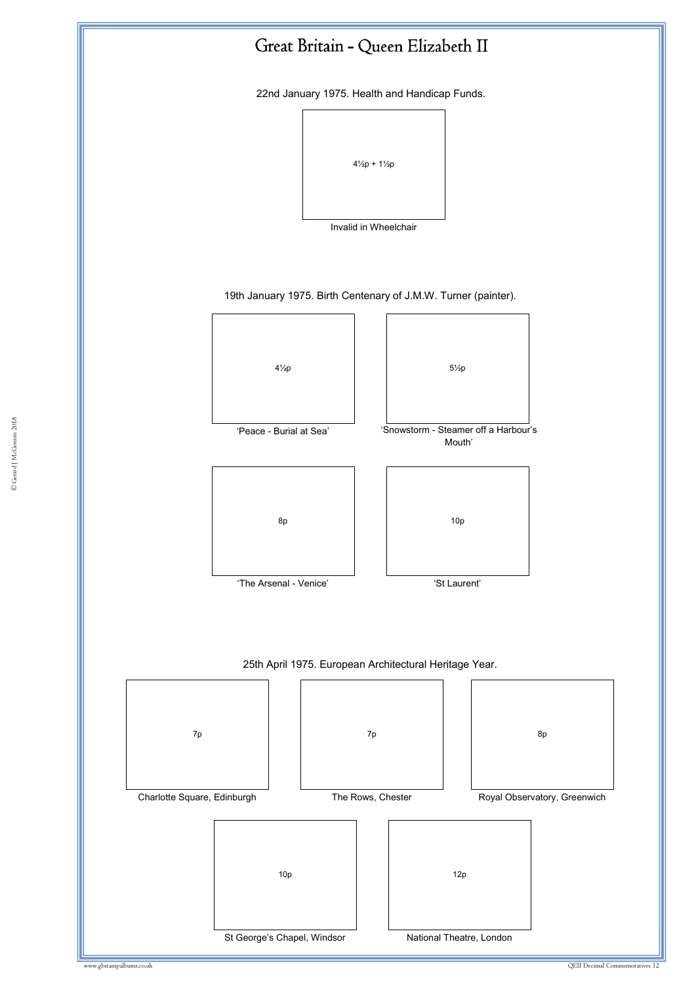

22nd January 1975. Health and Handicap Funds.



Invalid in Wheelchair

19th January 1975. Birth Centenary of J.M.W. Turner (painter).

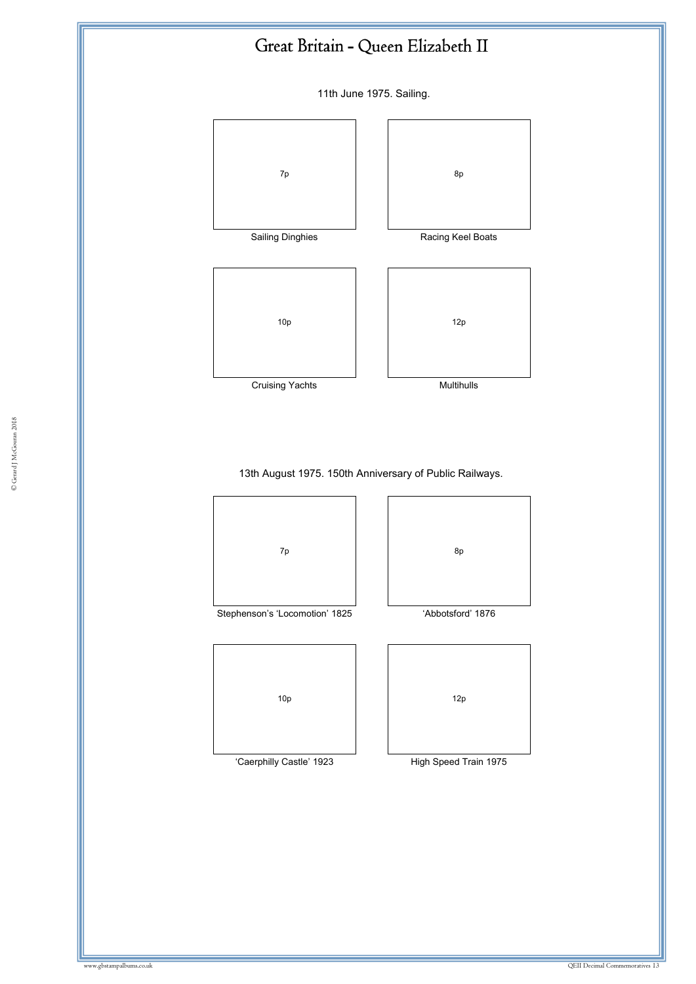11th June 1975. Sailing.



#### 13th August 1975. 150th Anniversary of Public Railways.



© Gerard J McGouran 2018 © Gerard J McGouran 2018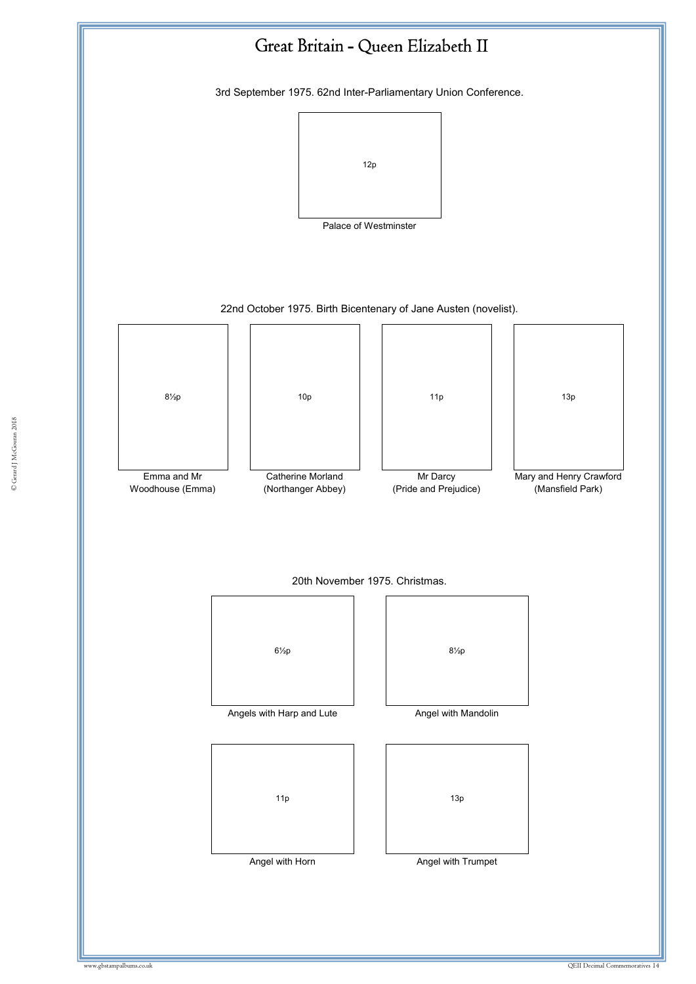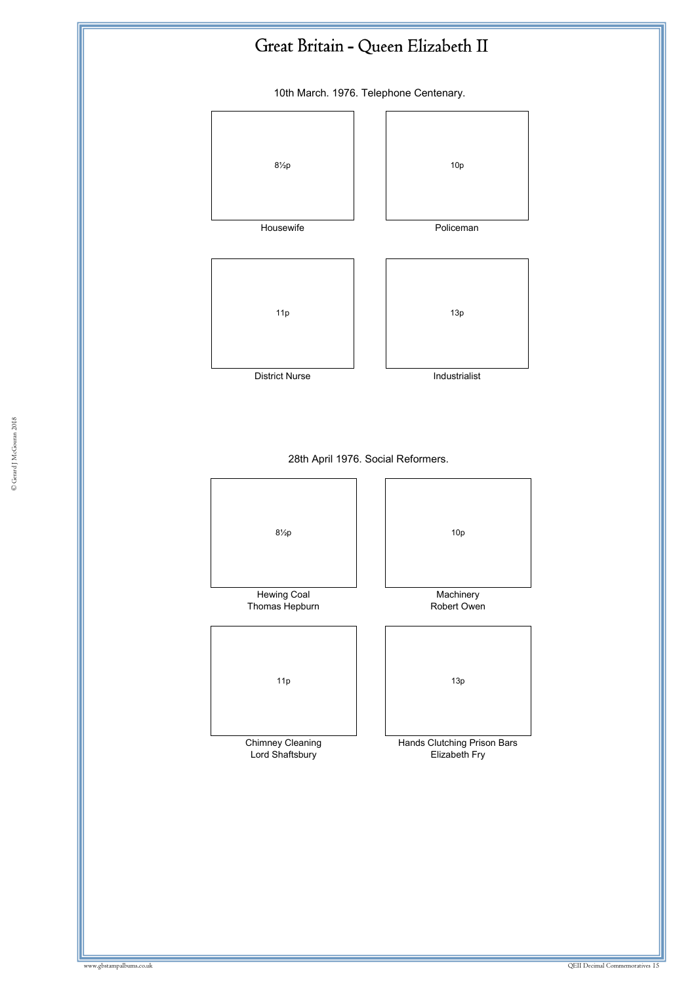10th March. 1976. Telephone Centenary.

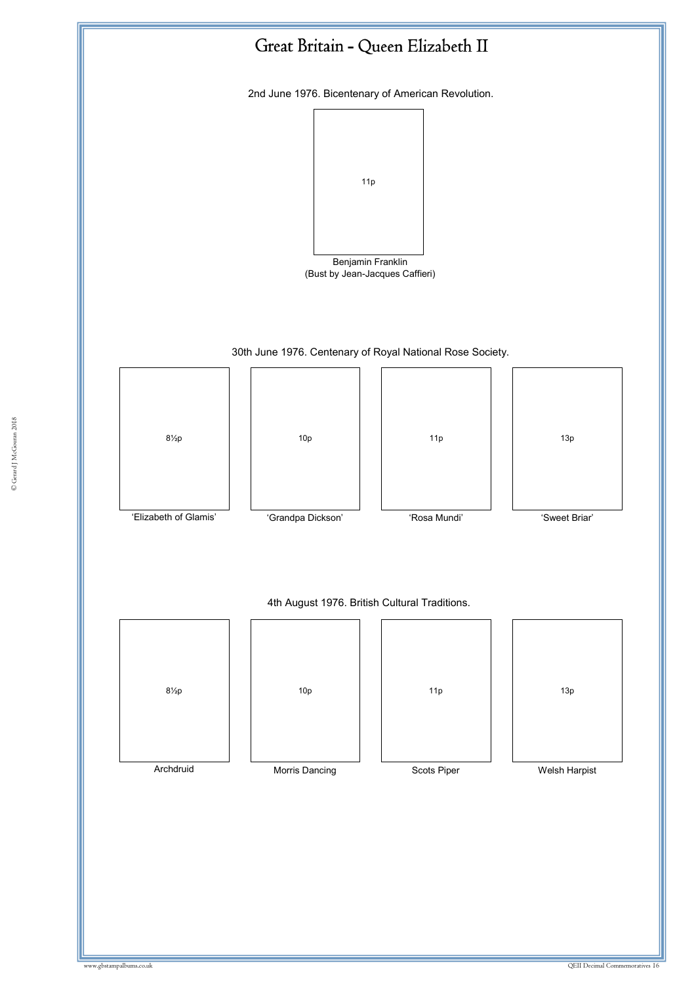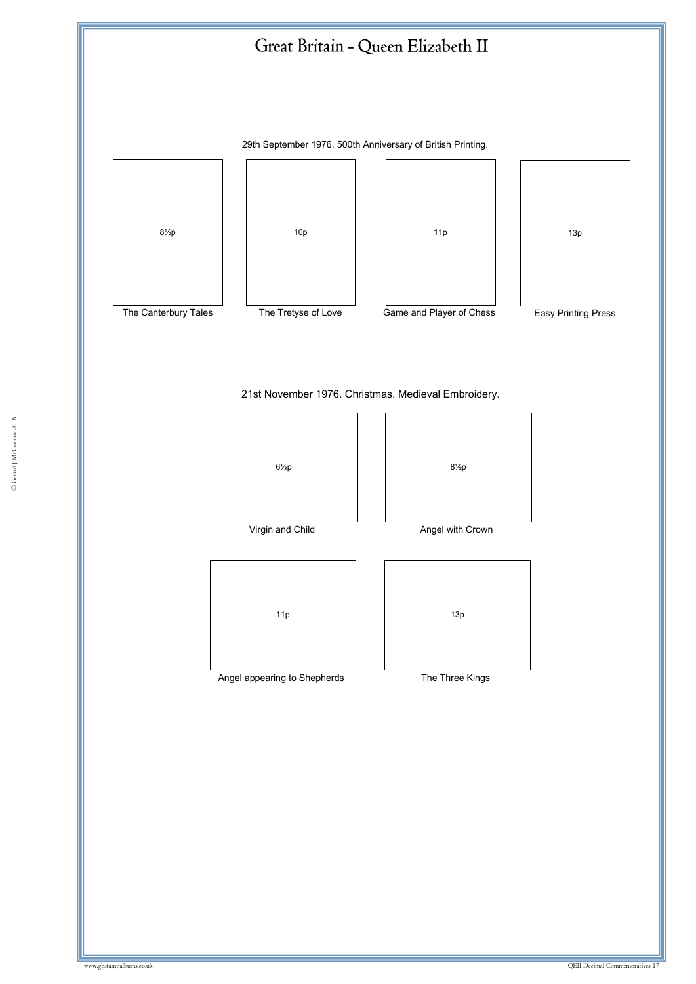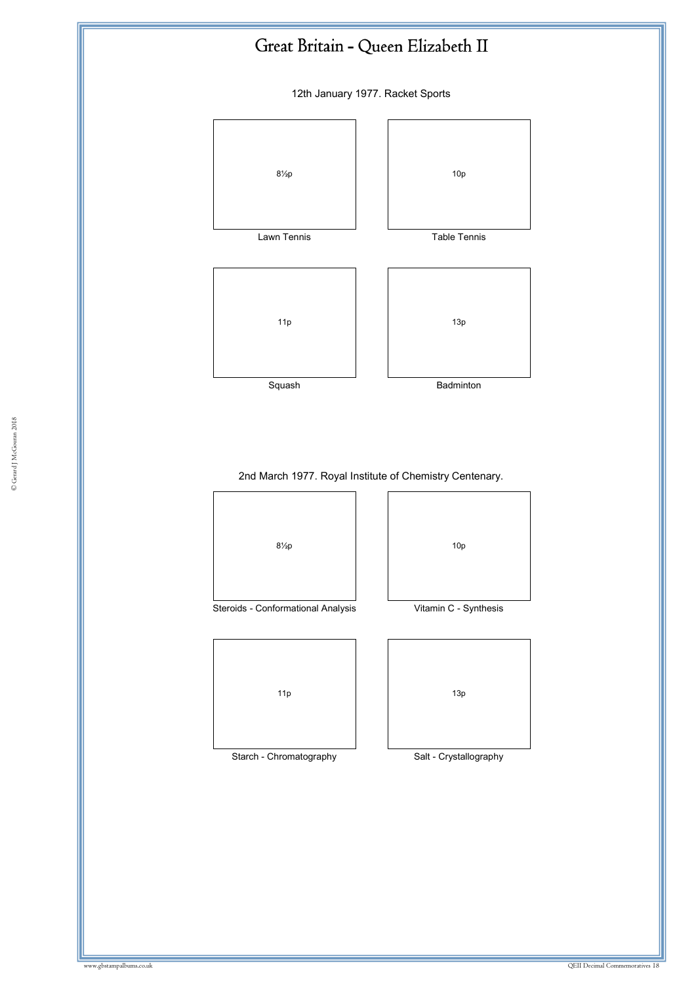12th January 1977. Racket Sports



# 2nd March 1977. Royal Institute of Chemistry Centenary.

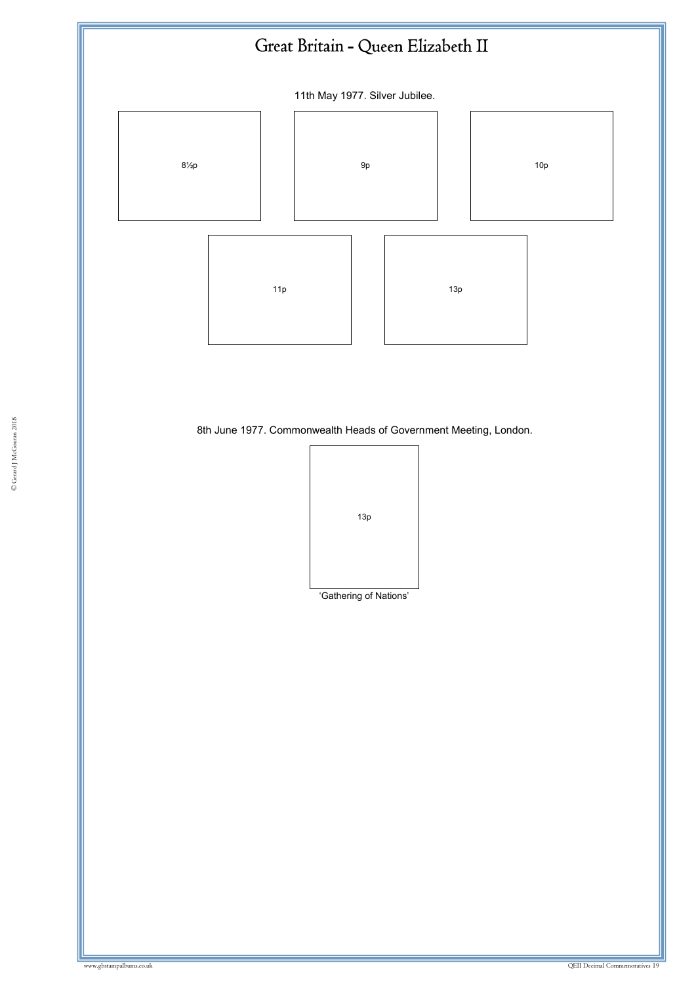

8th June 1977. Commonwealth Heads of Government Meeting, London.<br>.

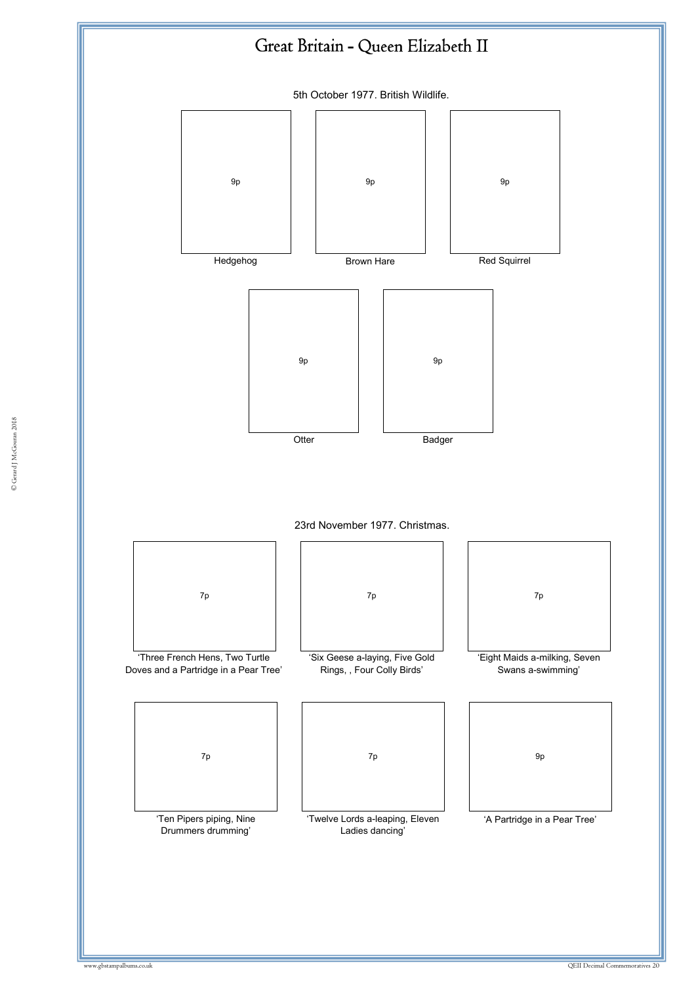5th October 1977. British Wildlife.



23rd November 1977. Christmas.



'Ten Pipers piping, Nine Drummers drumming'

| 7p |  |
|----|--|
|    |  |
|    |  |

'Six Geese a-laying, Five Gold Rings, , Four Colly Birds'

| 7p | 7p | 9p |
|----|----|----|
|    |    |    |
|    |    |    |

'Twelve Lords a-leaping, Eleven Ladies dancing'

| 7p                                                 |
|----------------------------------------------------|
| 'Eight Maids a-milking, Seven<br>Swans a-swimming' |
|                                                    |

| 9p                           |  |
|------------------------------|--|
|                              |  |
|                              |  |
| 'A Partridge in a Pear Tree' |  |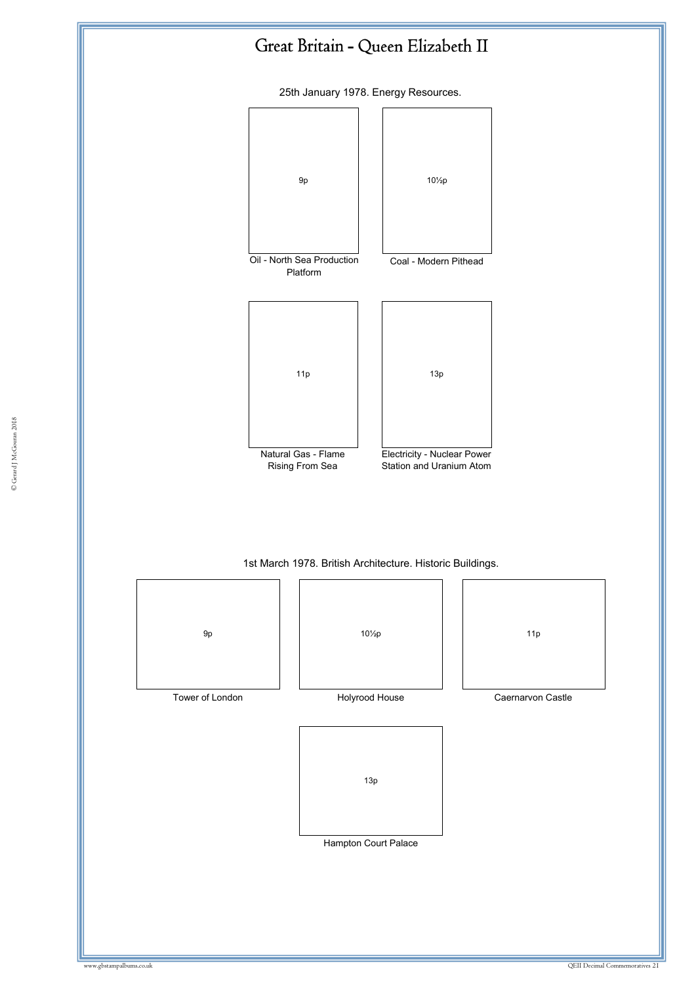



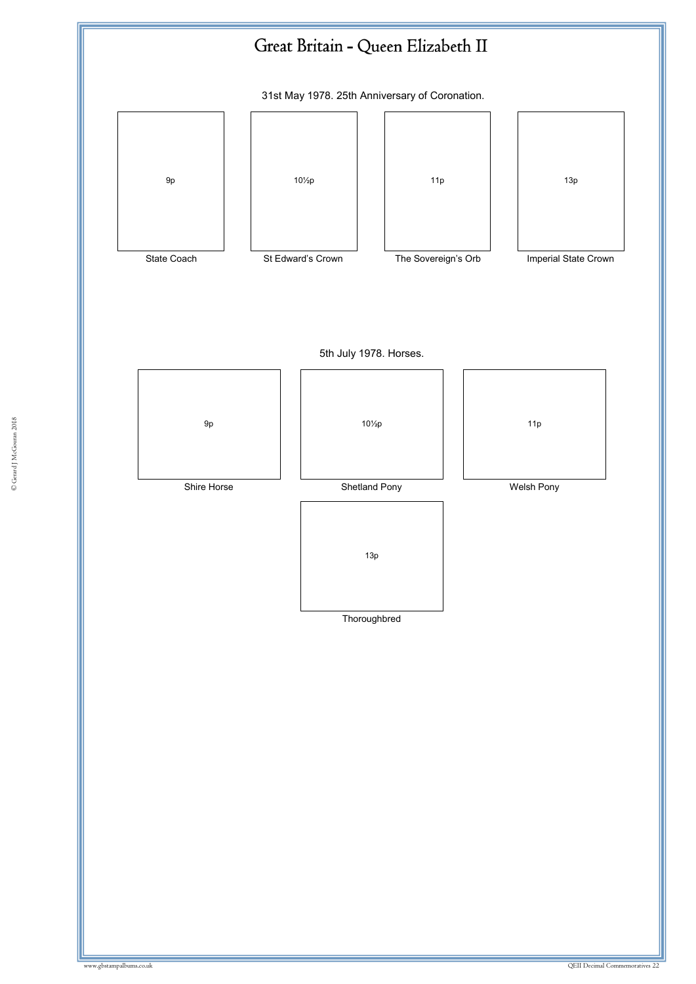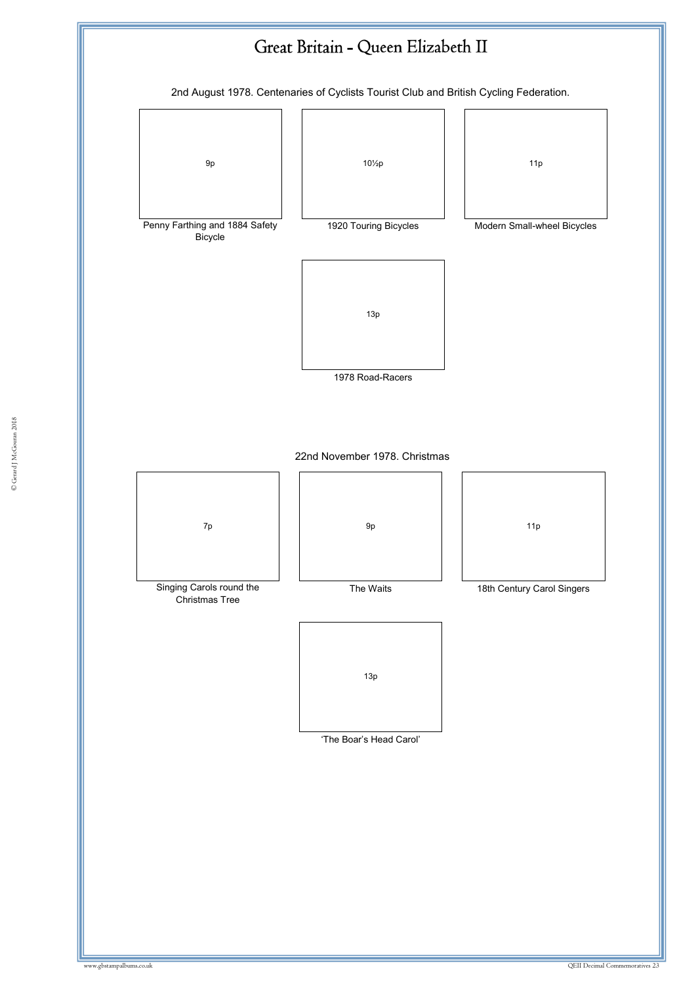

© Gerard J McGouran 2018 © Gerard J McGouran 2018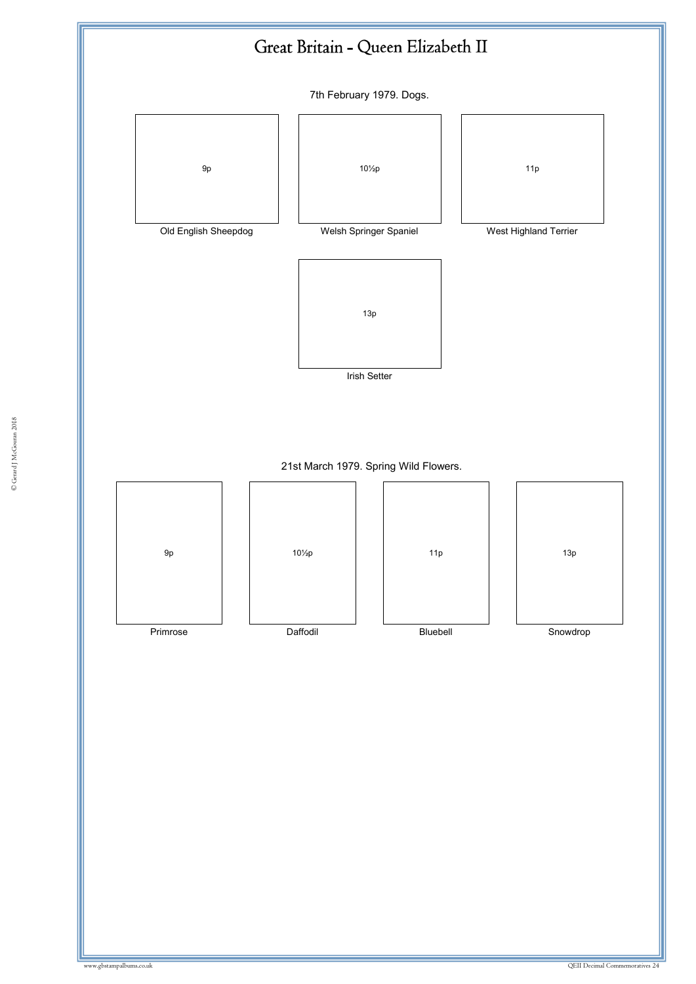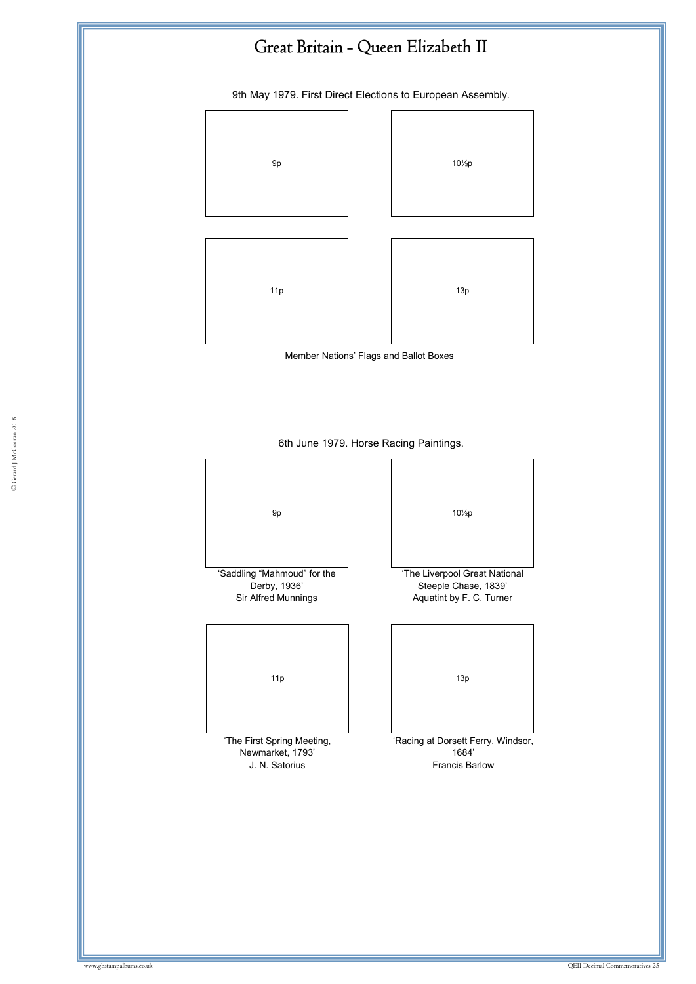9th May 1979. First Direct Elections to European Assembly.



Member Nations' Flags and Ballot Boxes

# 6th June 1979. Horse Racing Paintings.

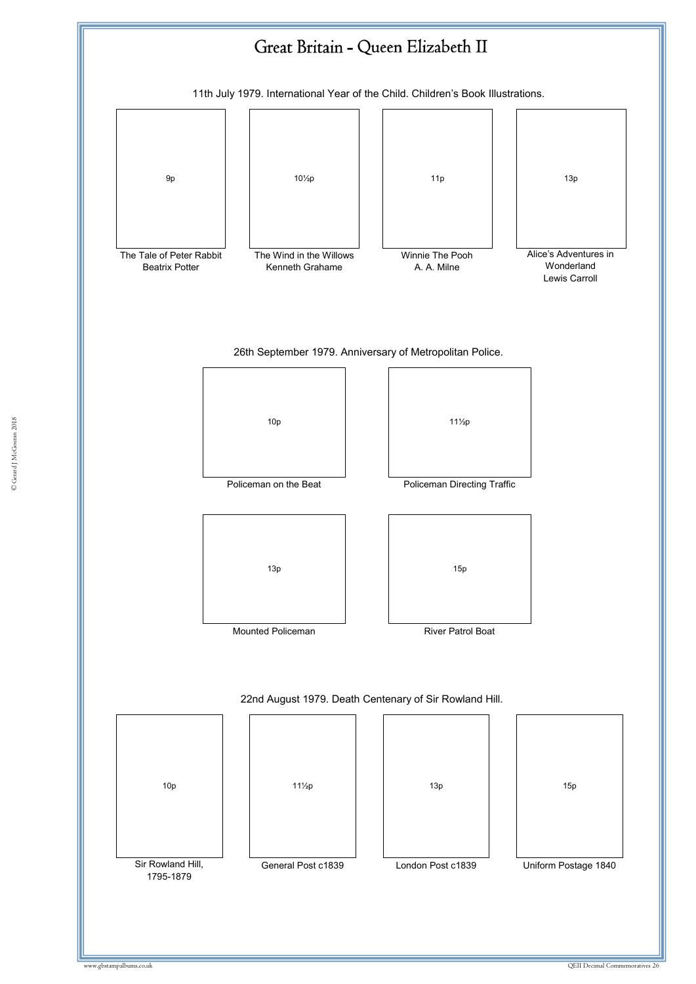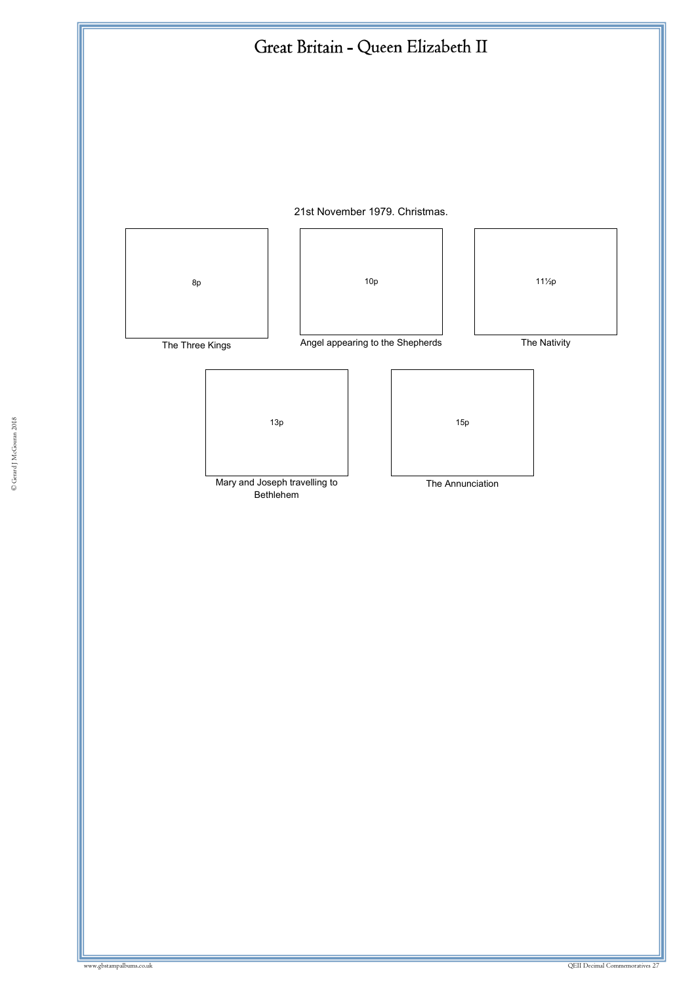



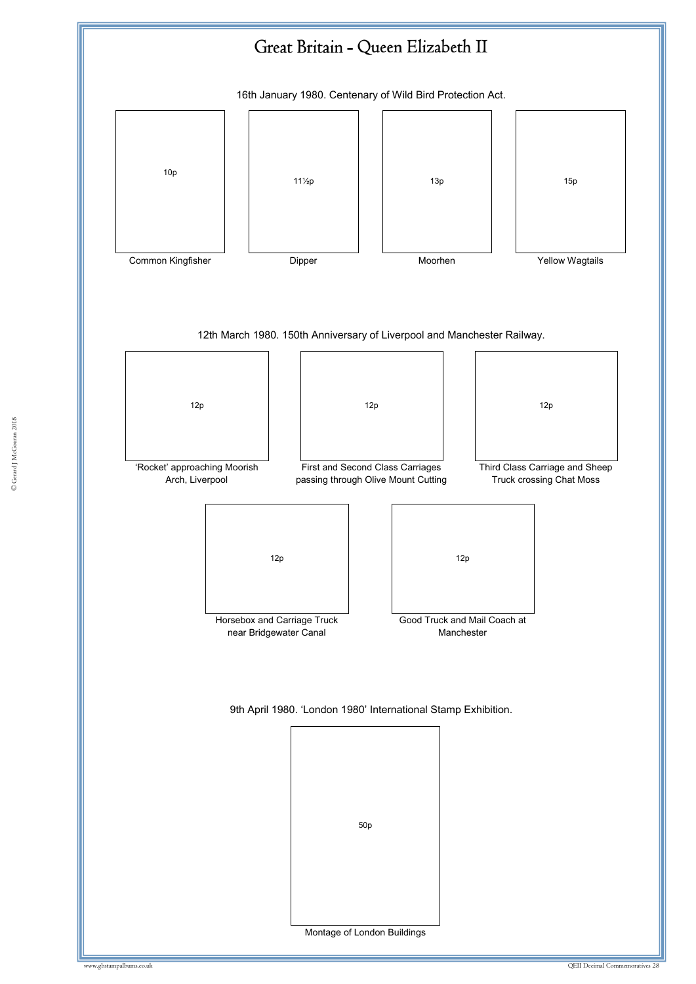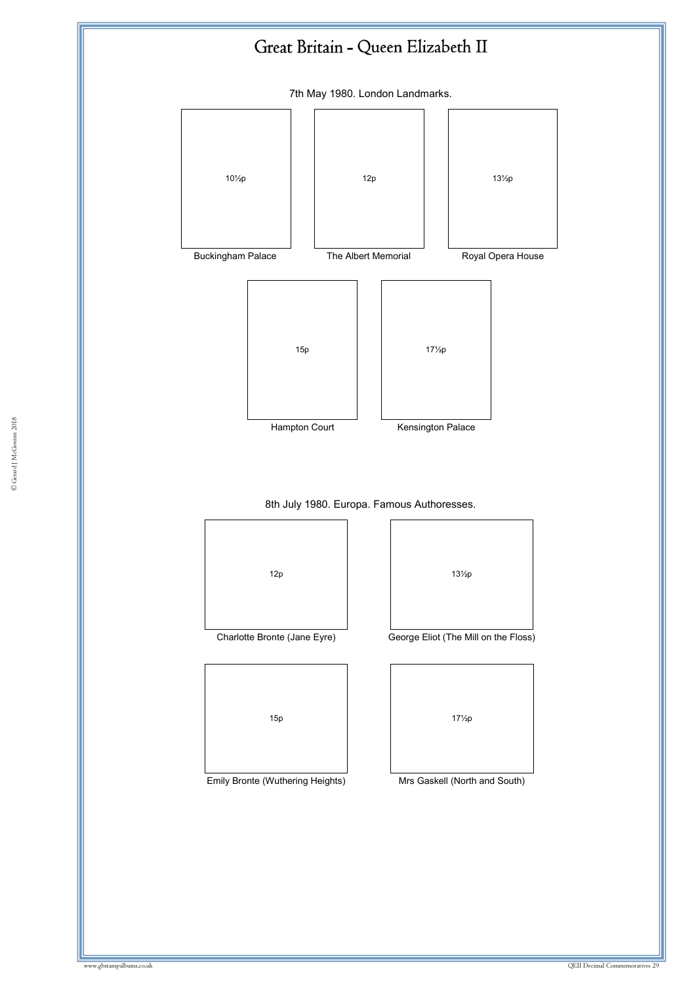7th May 1980. London Landmarks.



8th July 1980. Europa. Famous Authoresses.



Emily Bronte (Wuthering Heights) Mrs Gaskell (North and South)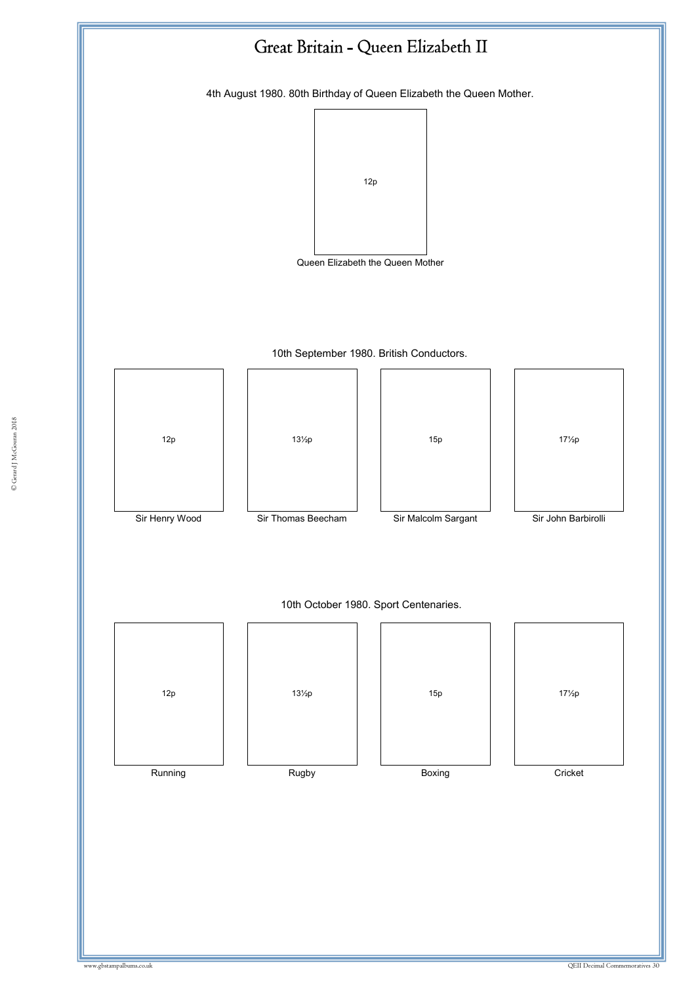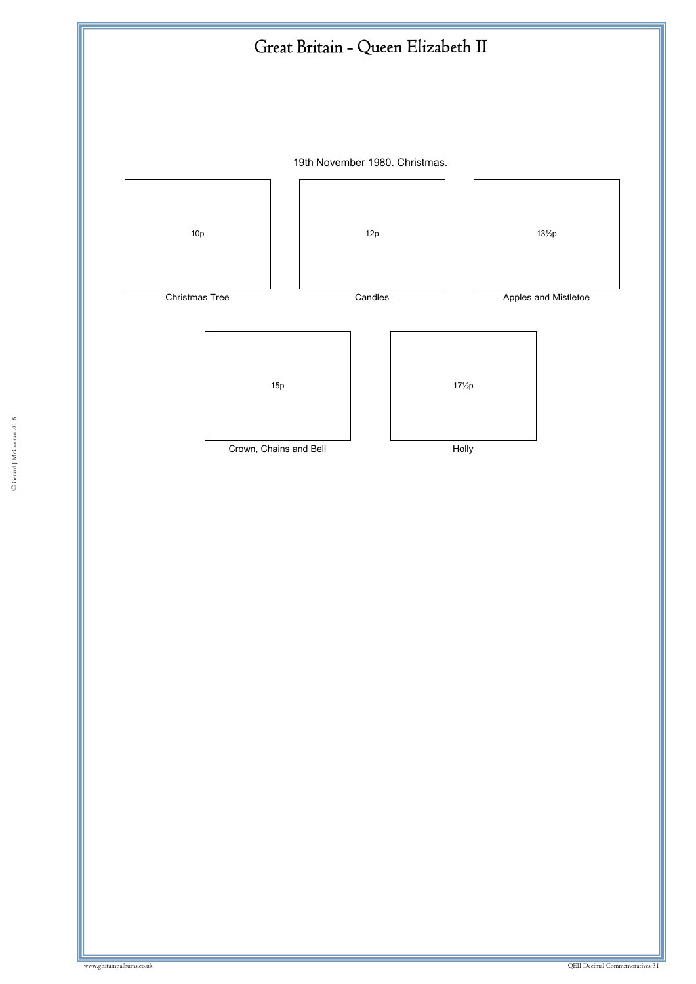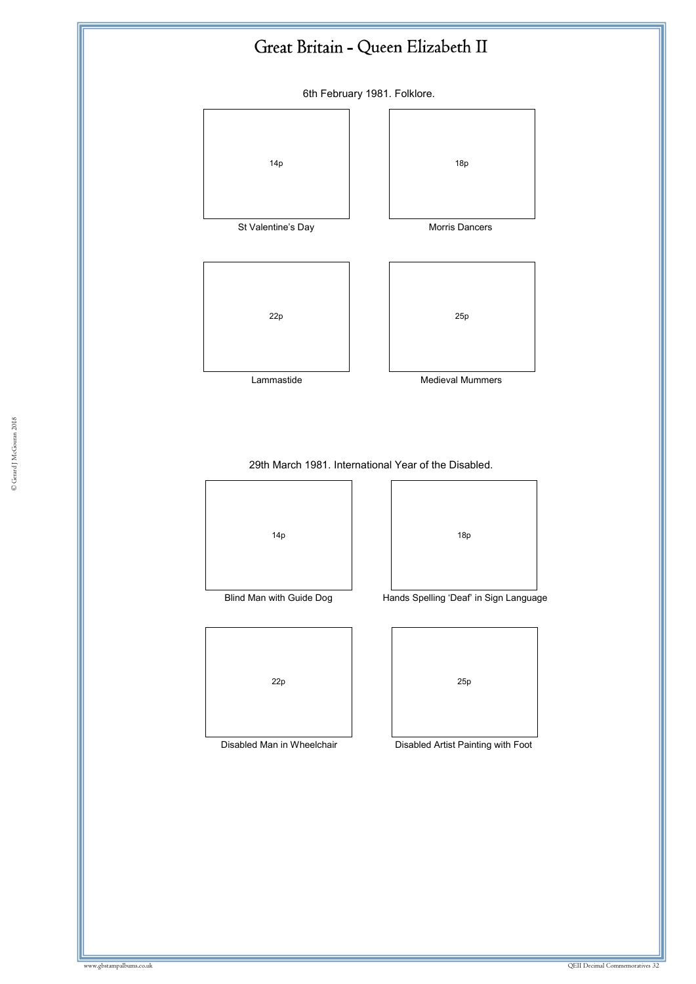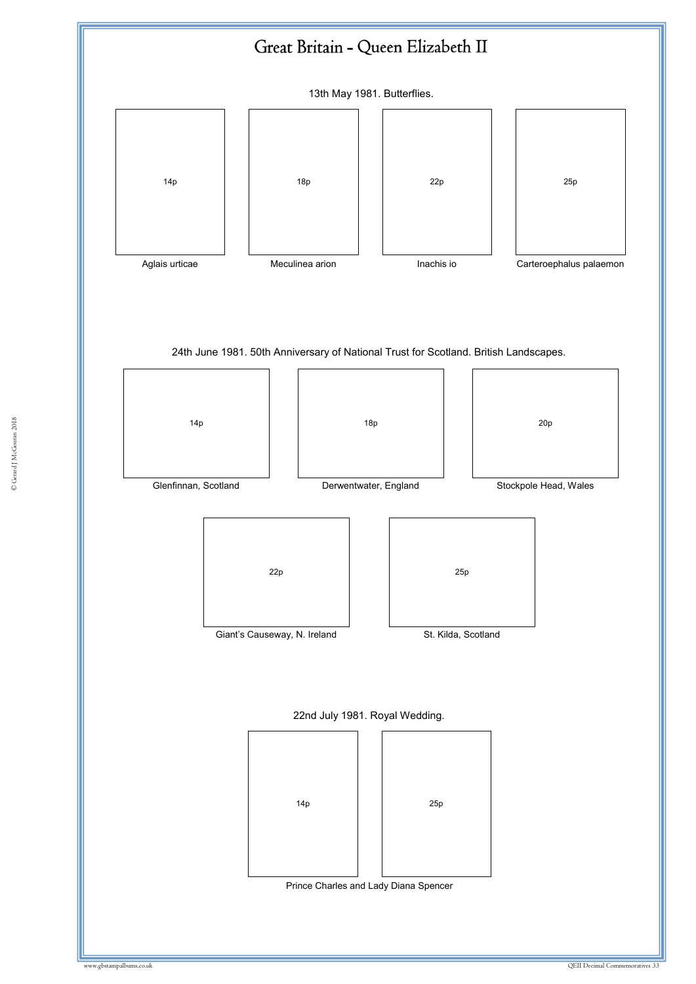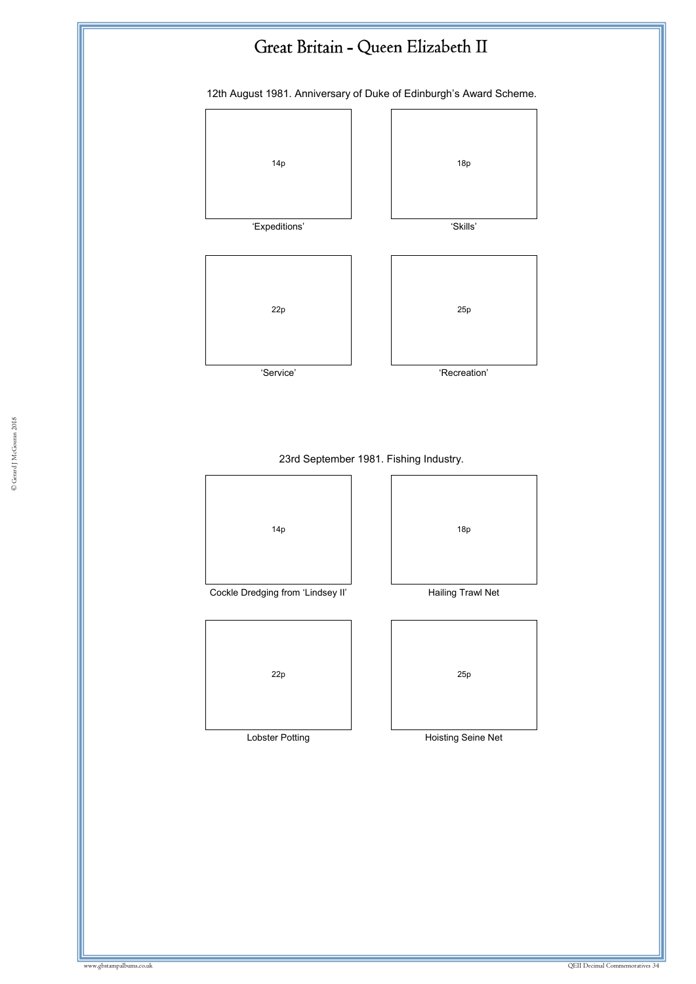12th August 1981. Anniversary of Duke of Edinburgh's Award Scheme.





© Gerard J McGouran 2018 © Gerard J McGouran 2018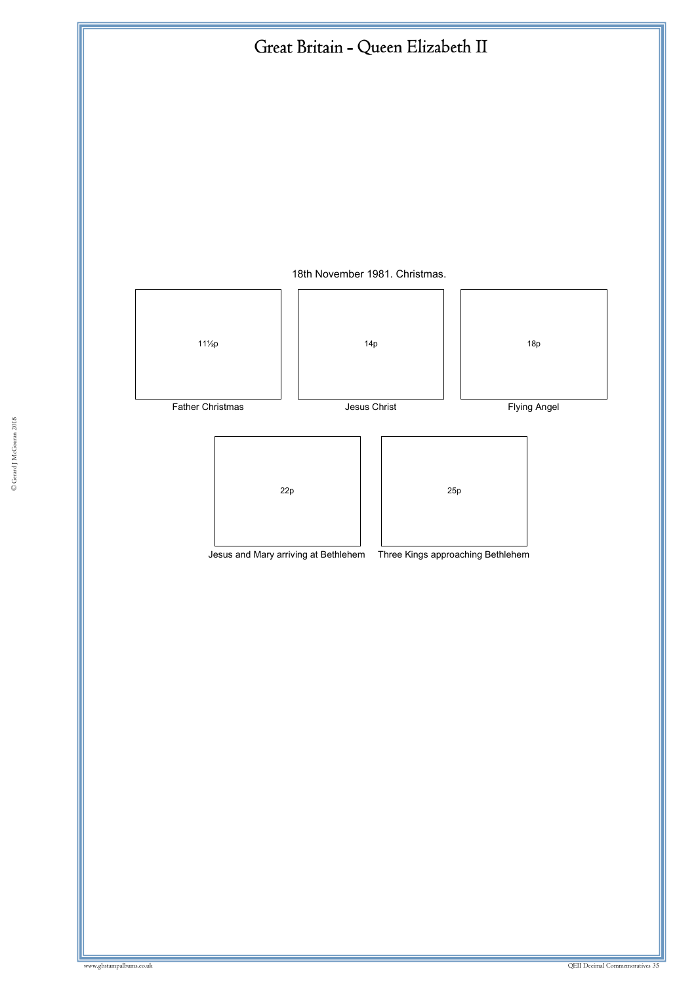

18th November 1981. Christmas.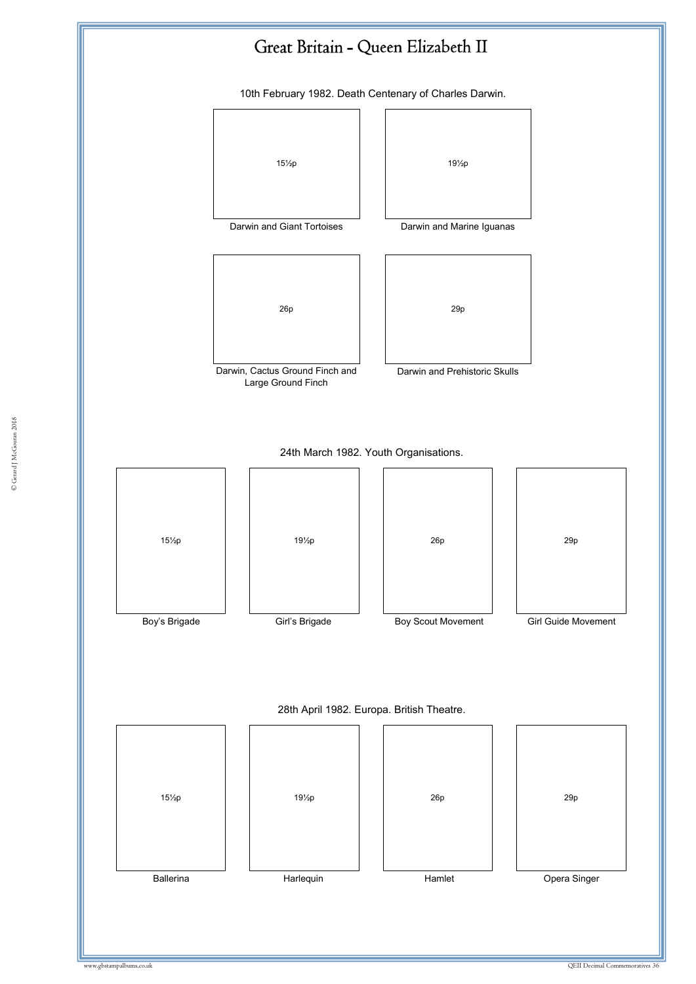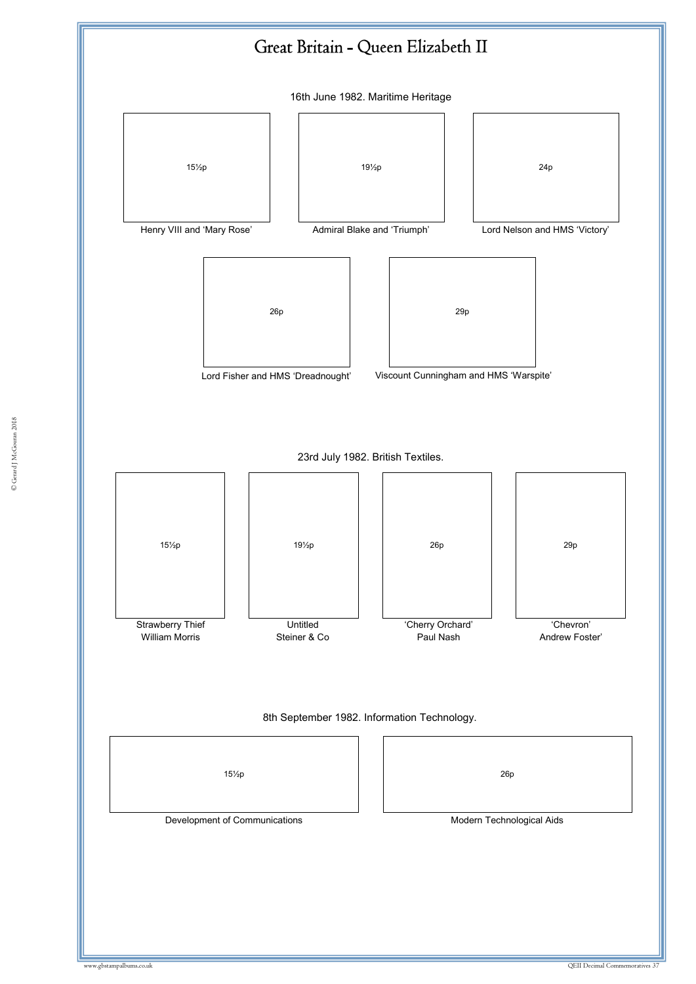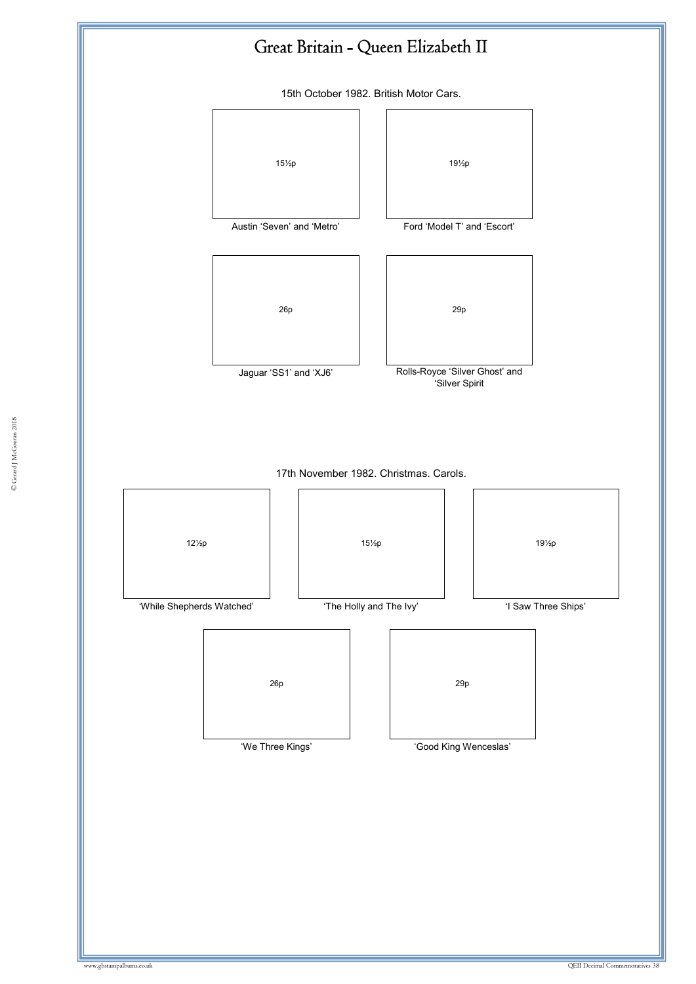

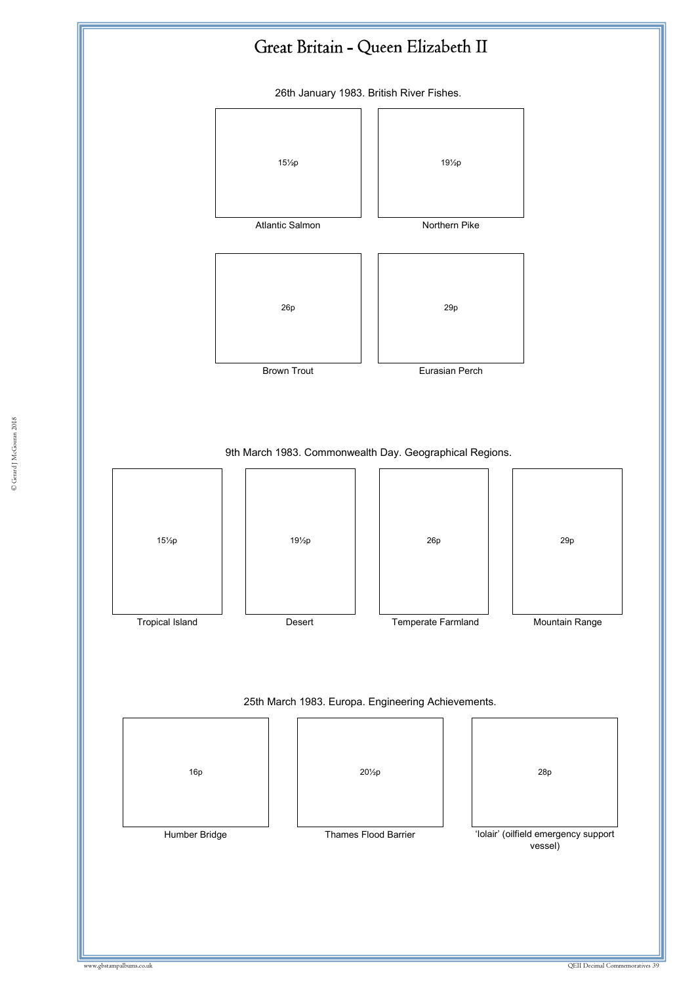

26th January 1983. British River Fishes.



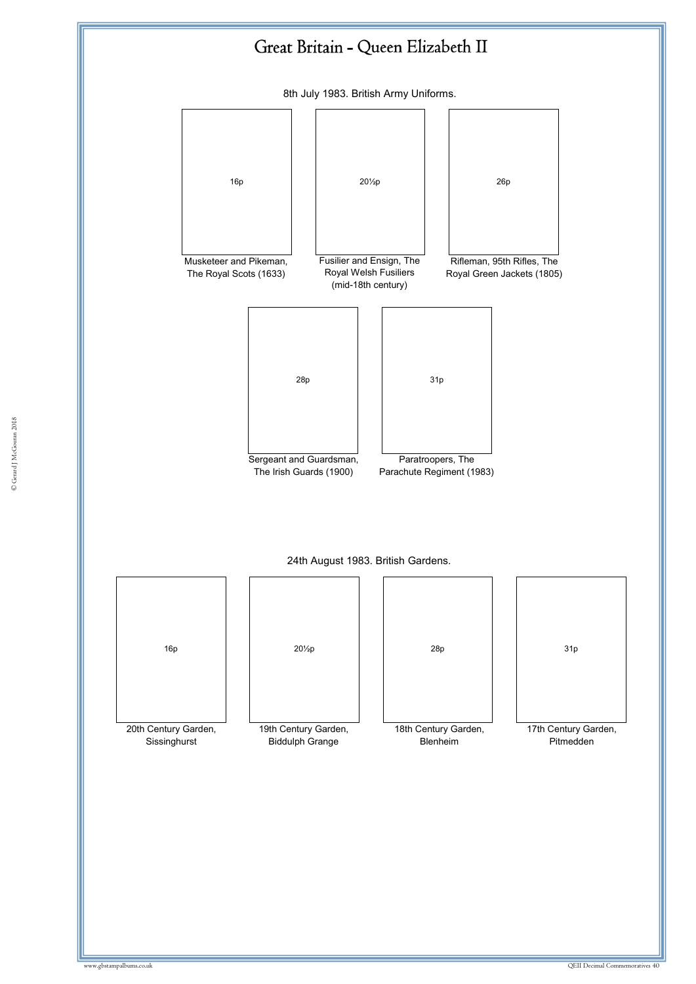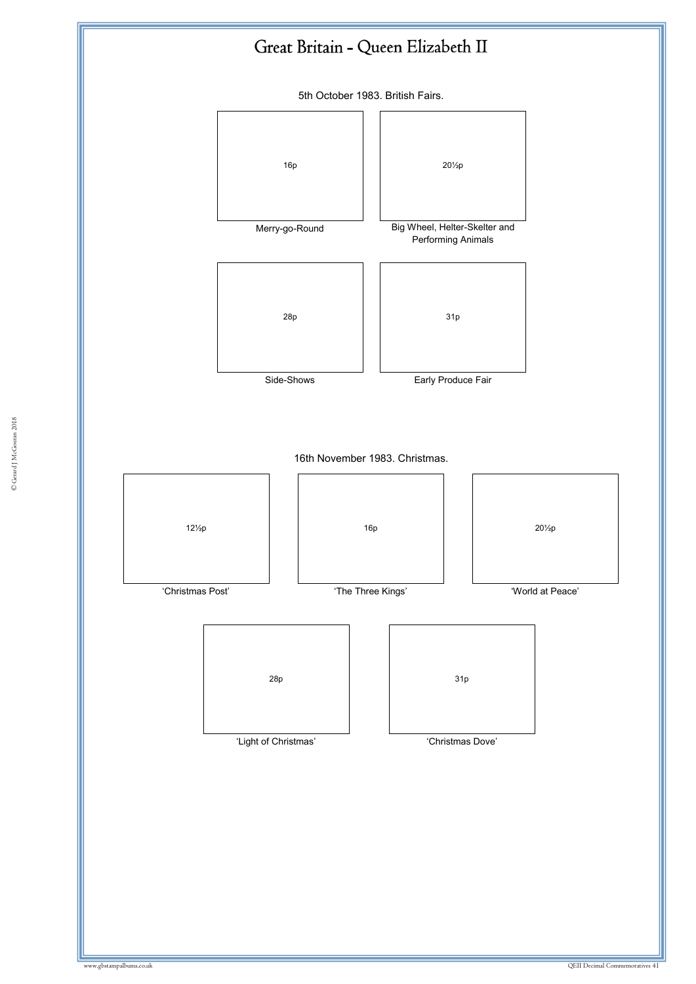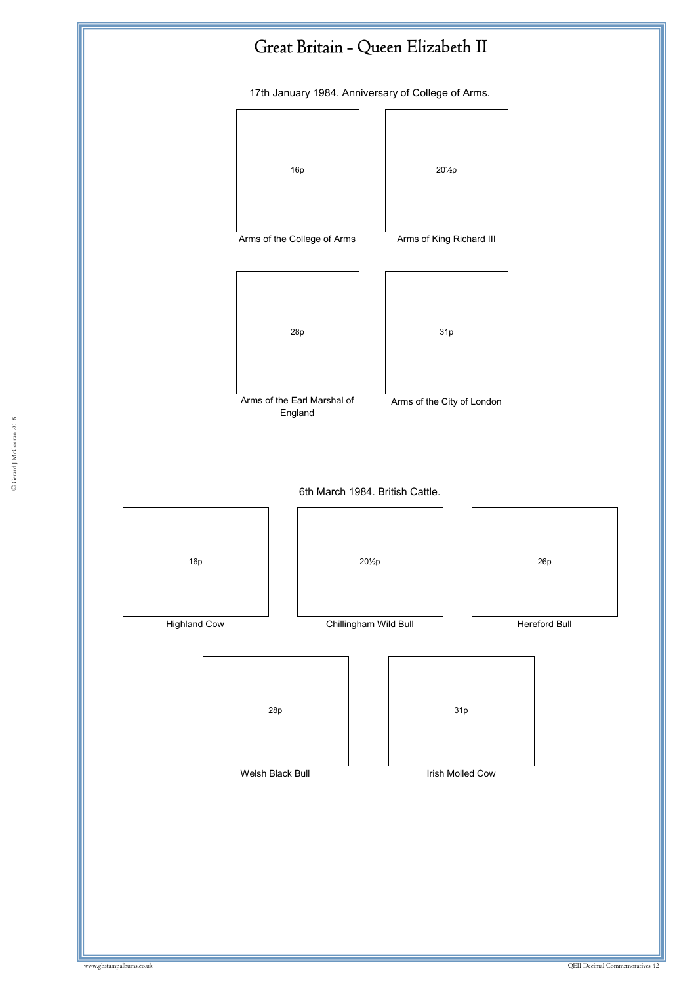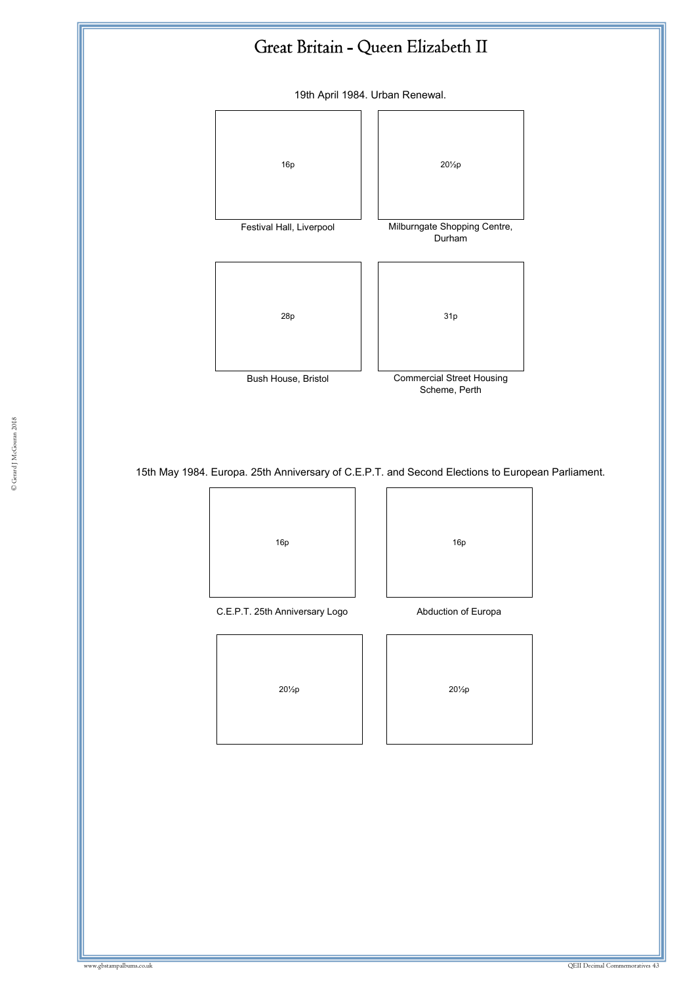19th April 1984. Urban Renewal.



15th May 1984. Europa. 25th Anniversary of C.E.P.T. and Second Elections to European Parliament.

C.E.P.T. 25th Anniversary Logo **Abduction of Europa** 

16p | | | 16p

20½p 20½p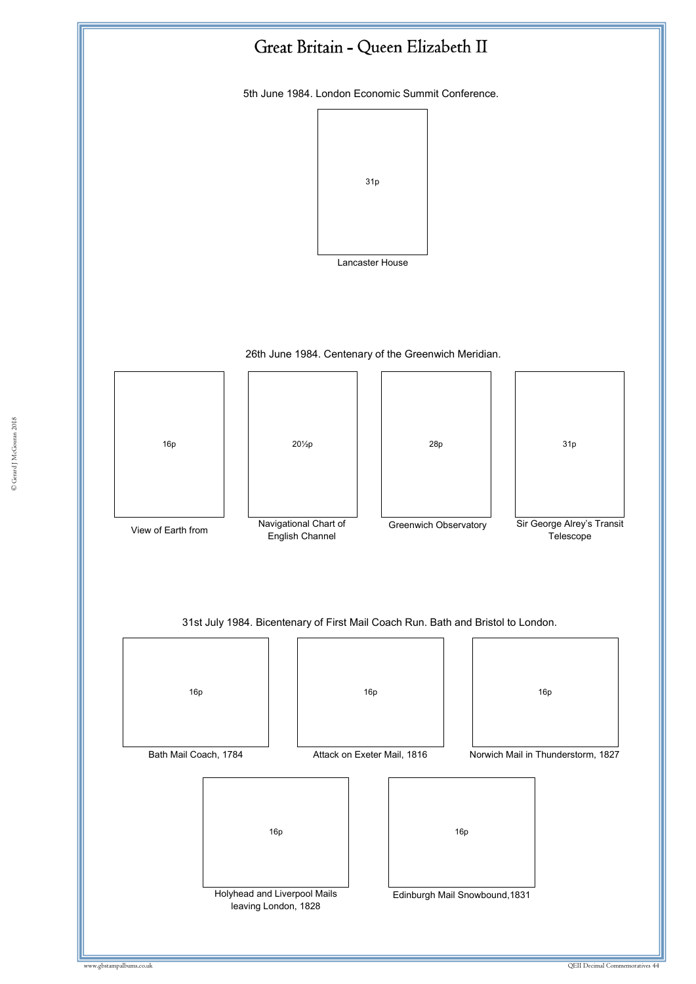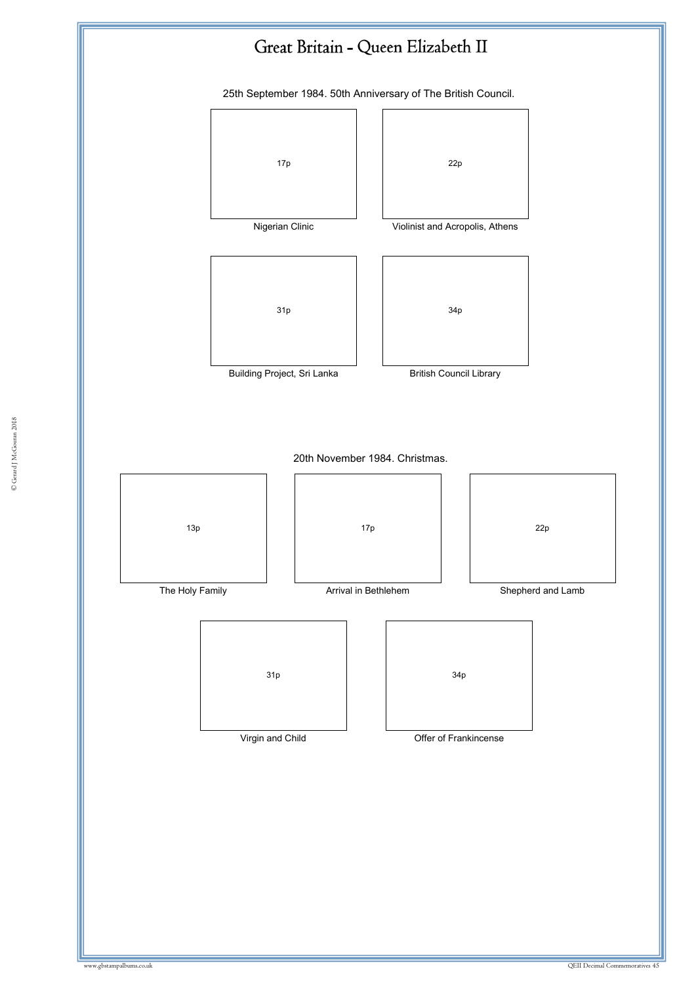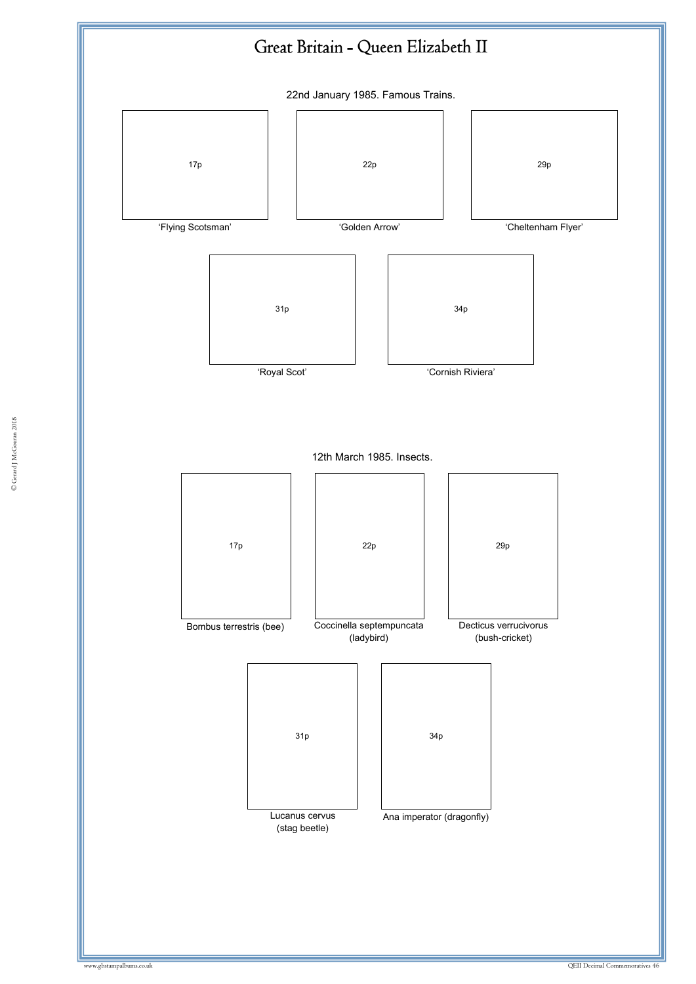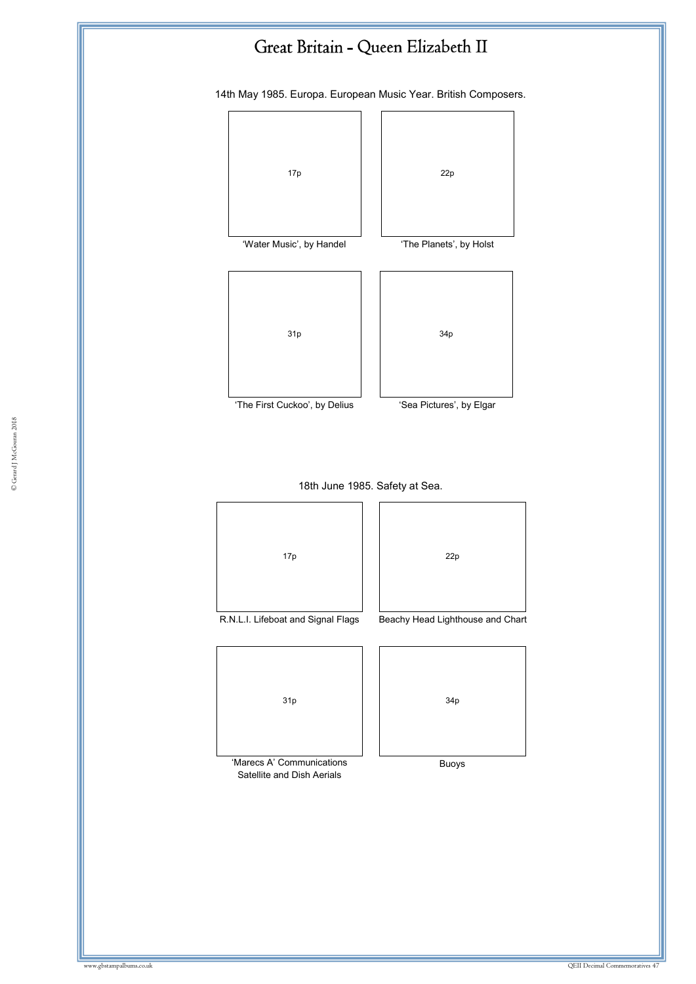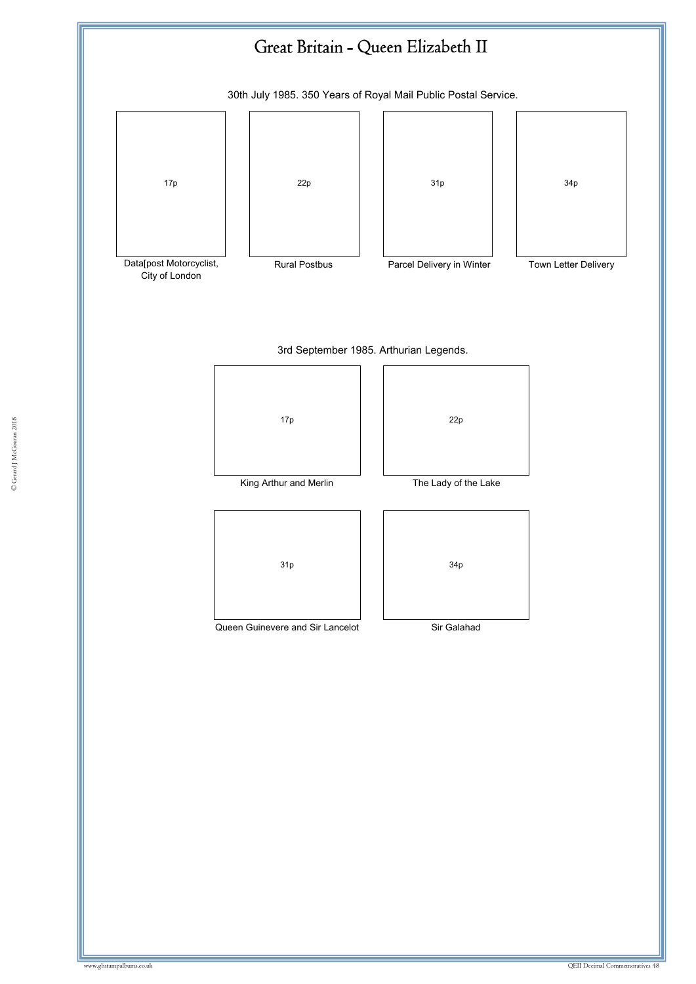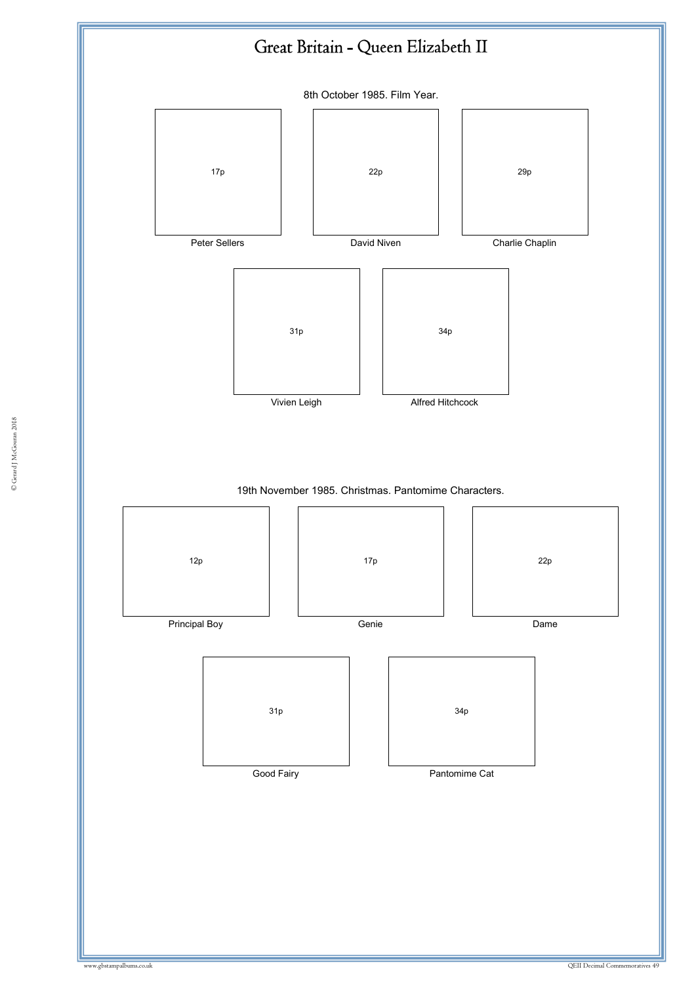

© Gerard J McGouran 2018 © Gerard J McGouran 2018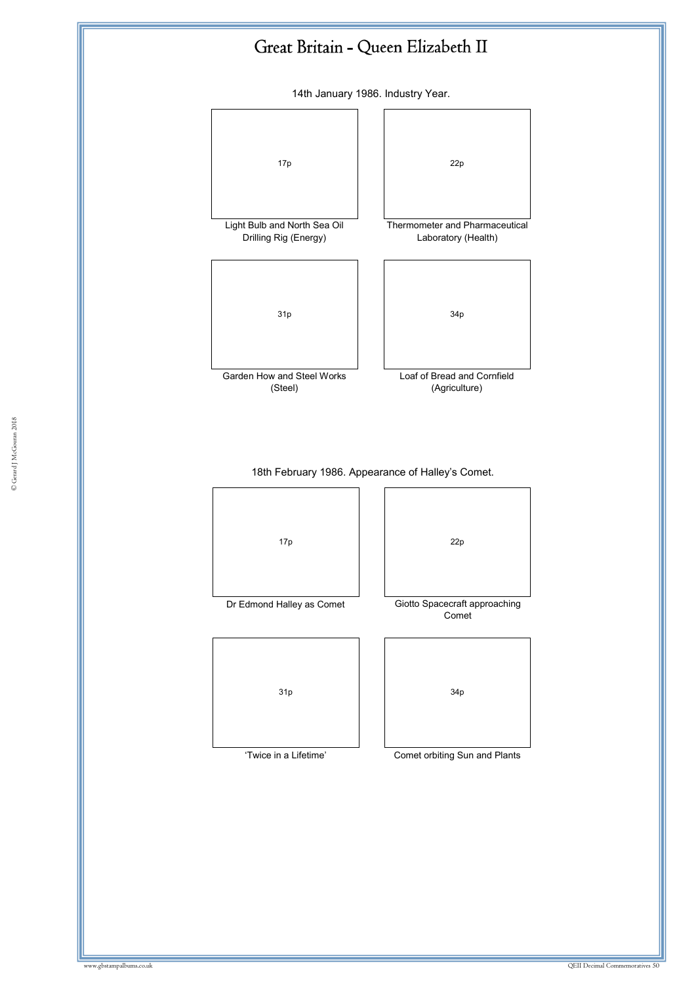14th January 1986. Industry Year.



18th February 1986. Appearance of Halley's Comet.

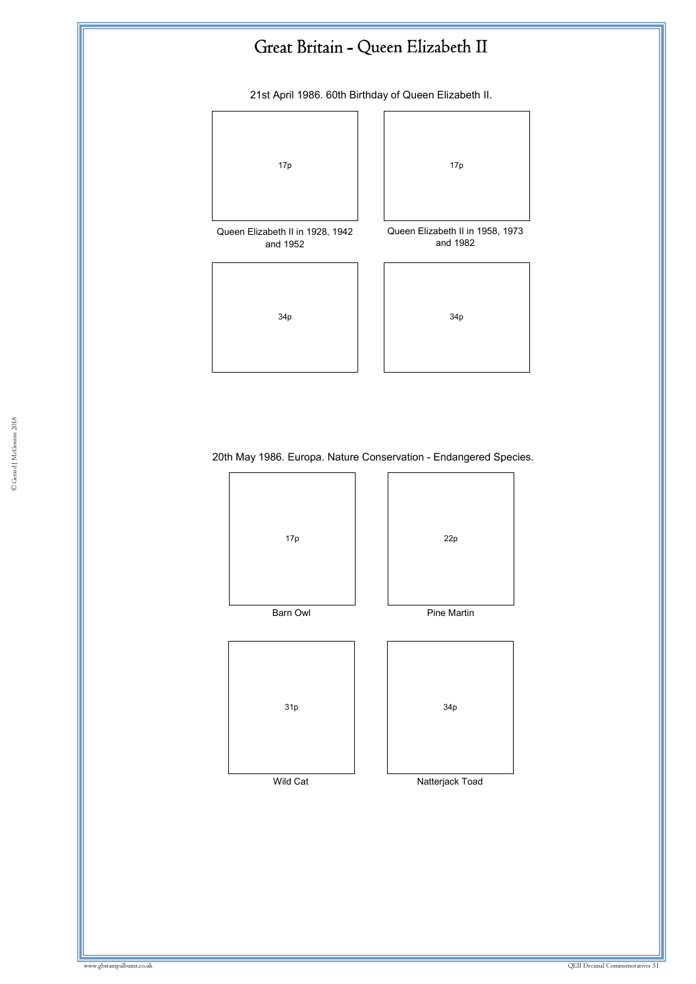21st April 1986. 60th Birthday of Queen Elizabeth II.



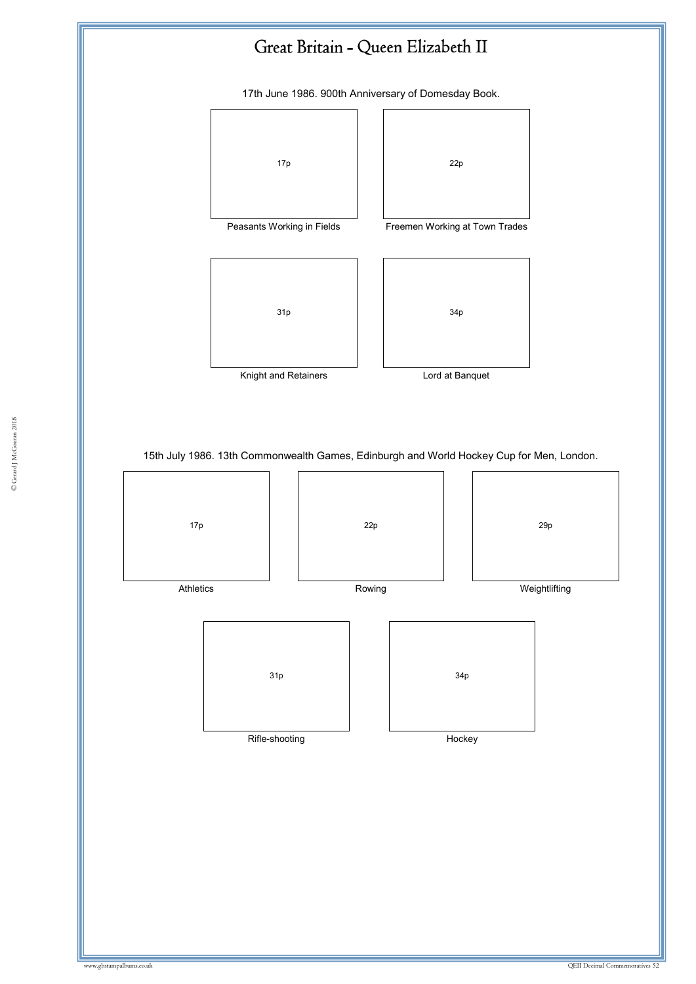

17th June 1986. 900th Anniversary of Domesday Book.





Knight and Retainers **Lord** at Banquet

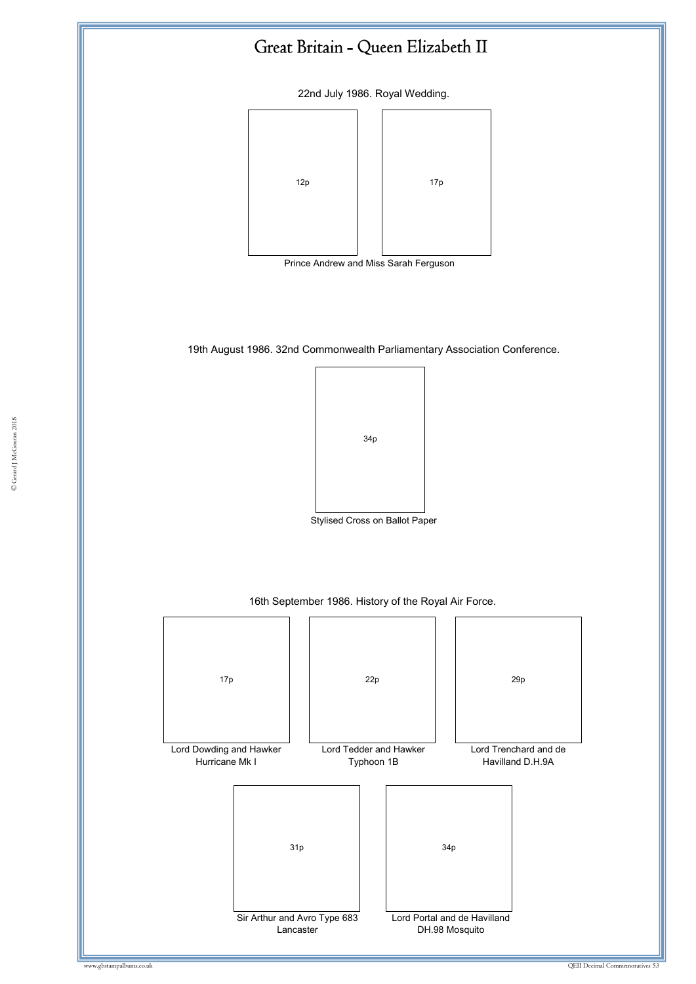22nd July 1986. Royal Wedding.



19th August 1986. 32nd Commonwealth Parliamentary Association Conference.



Stylised Cross on Ballot Paper



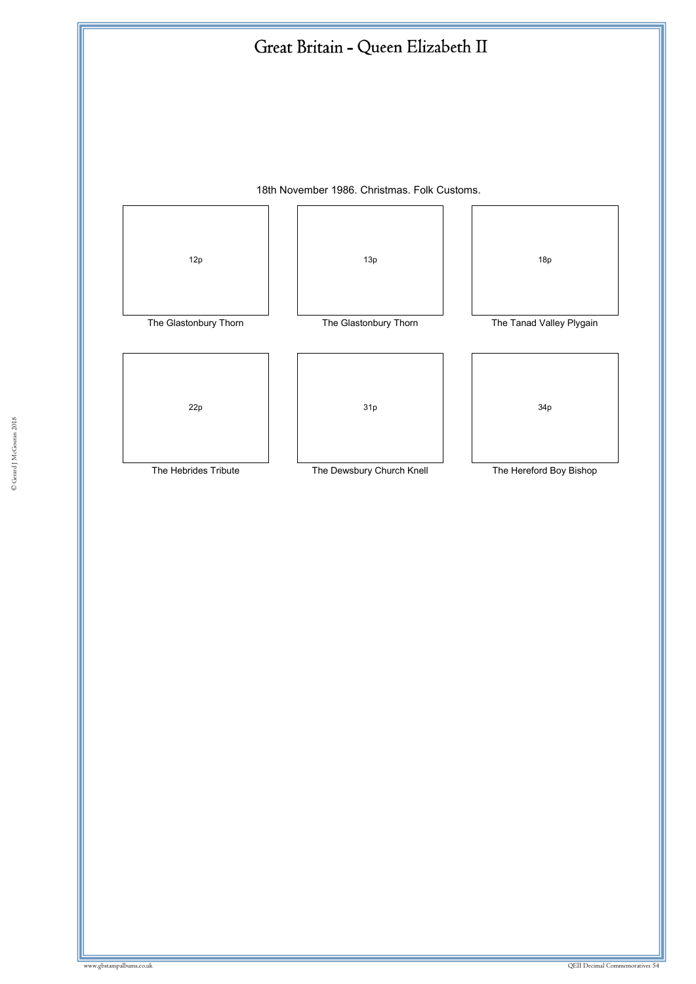



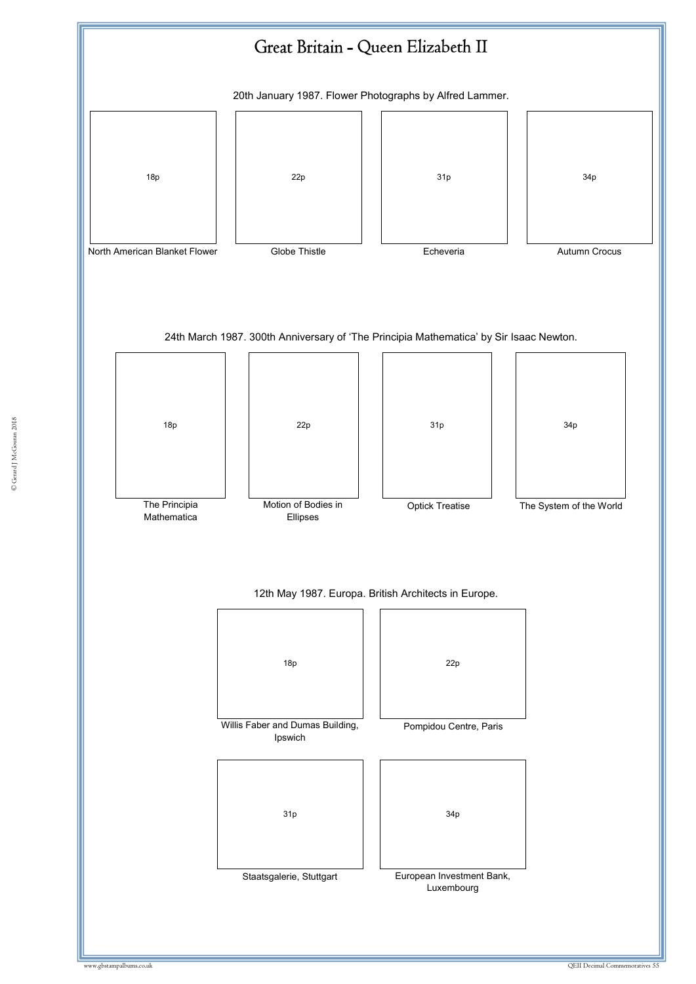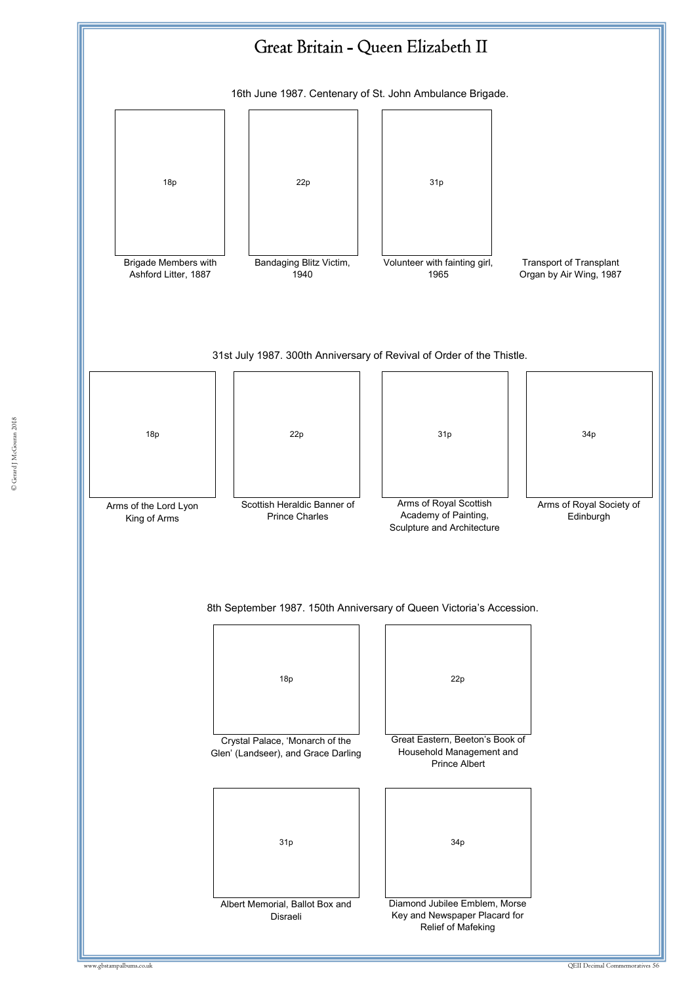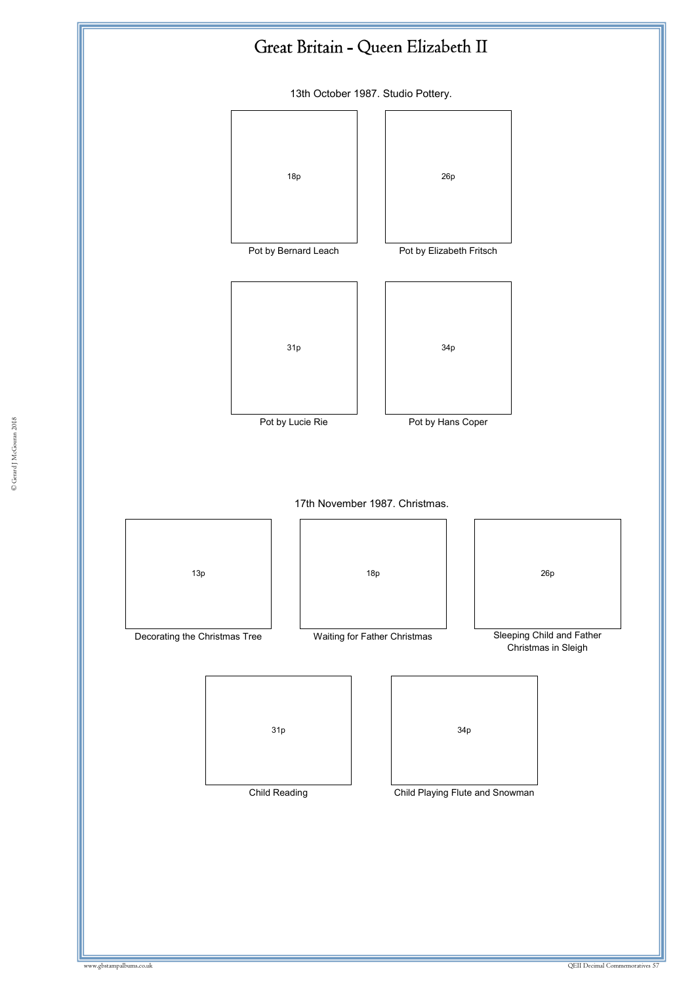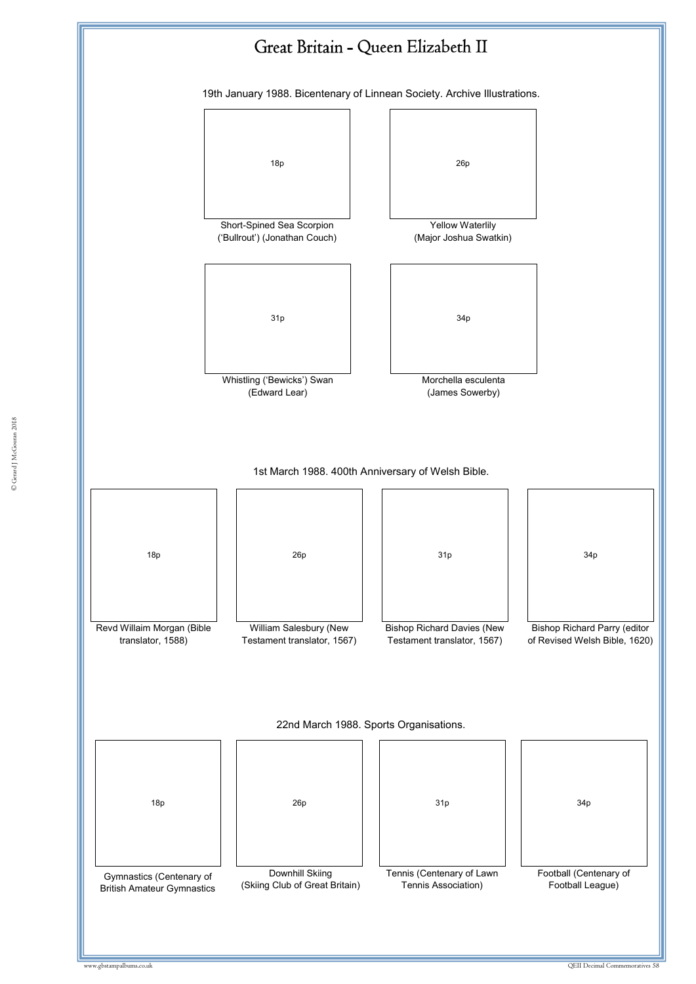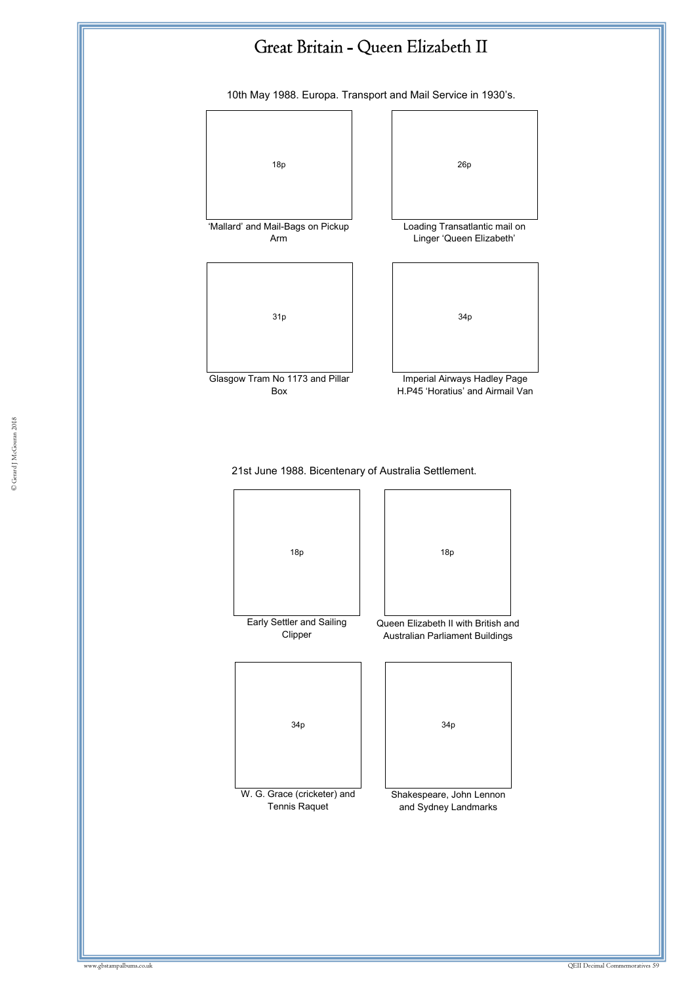

10th May 1988. Europa. Transport and Mail Service in 1930's.





© Gerard J McGouran 2018 © Gerard J McGouran 2018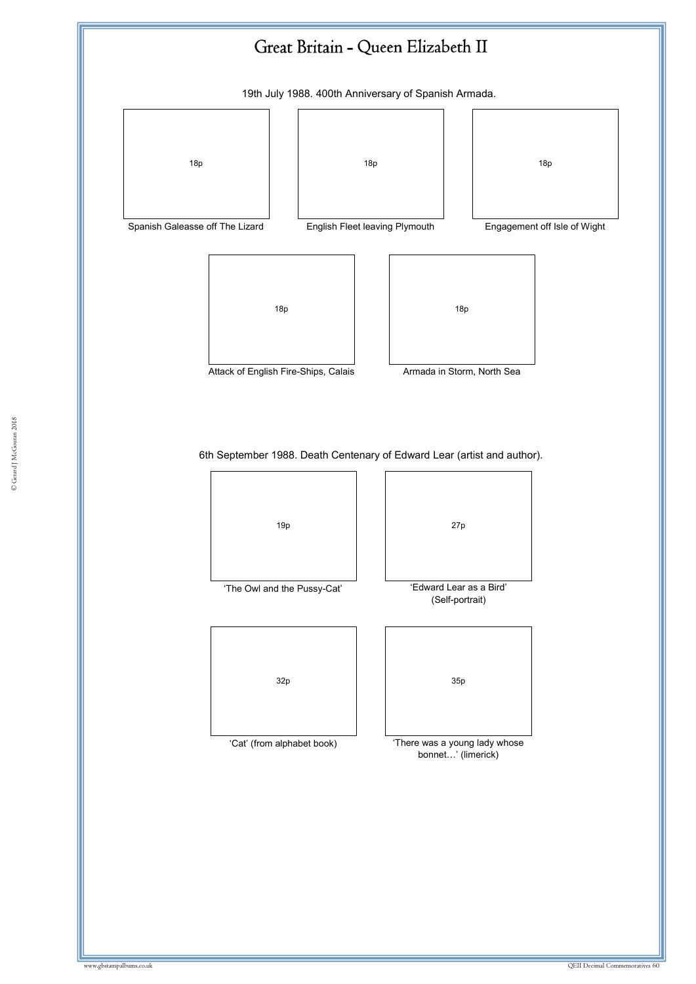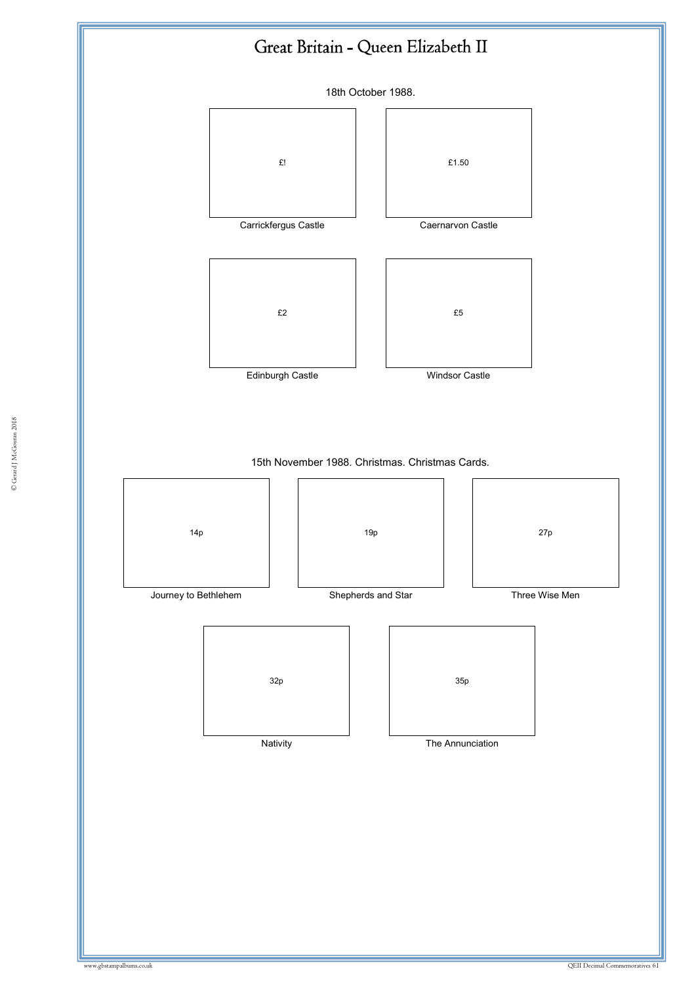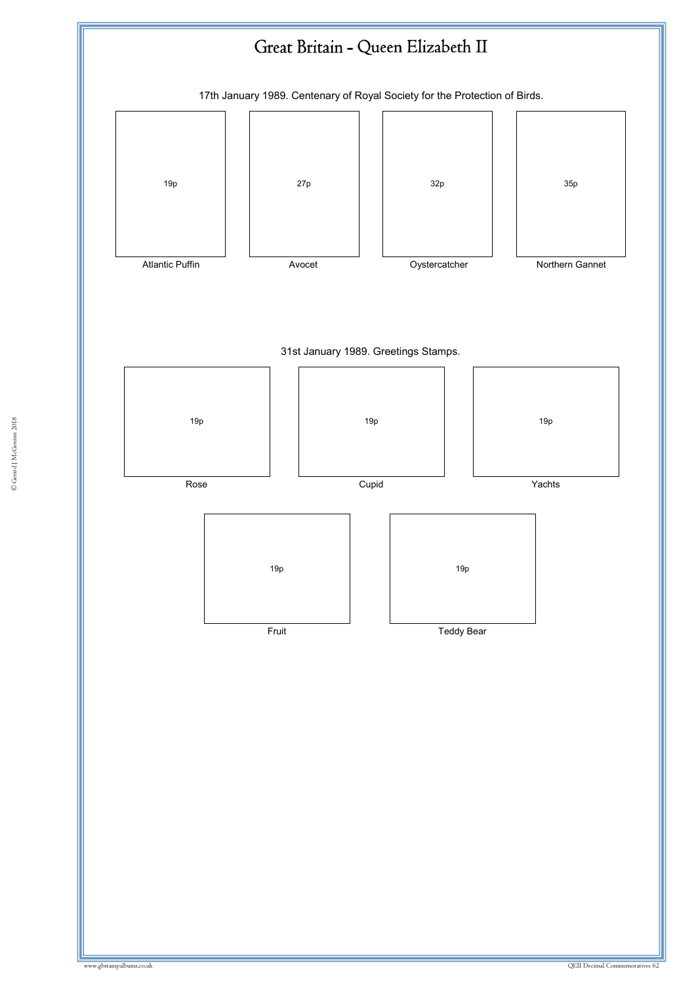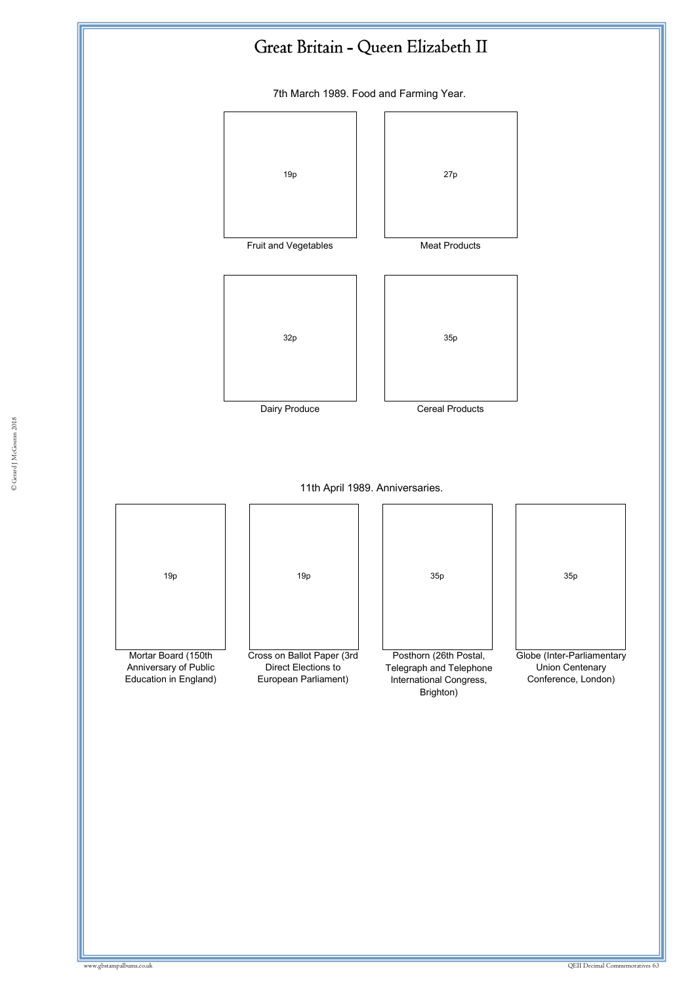

7th March 1989. Food and Farming Year.

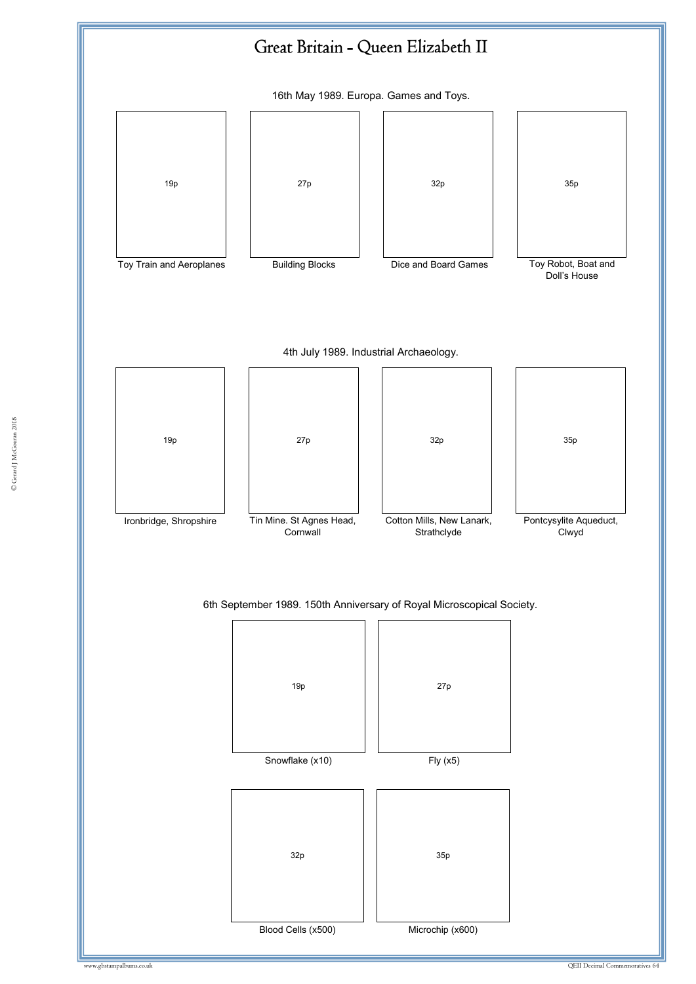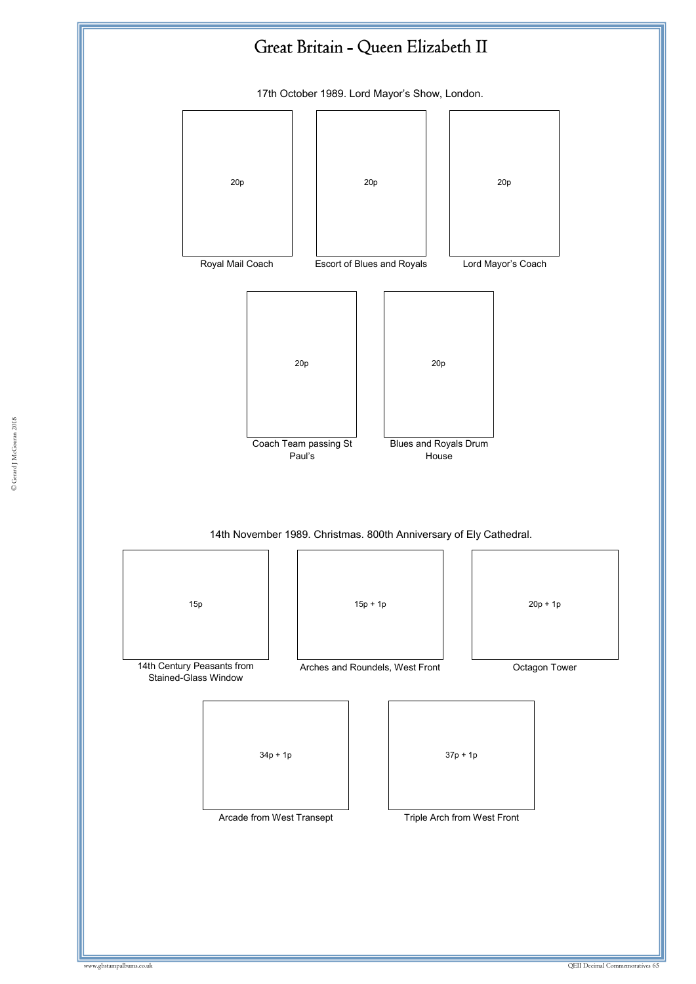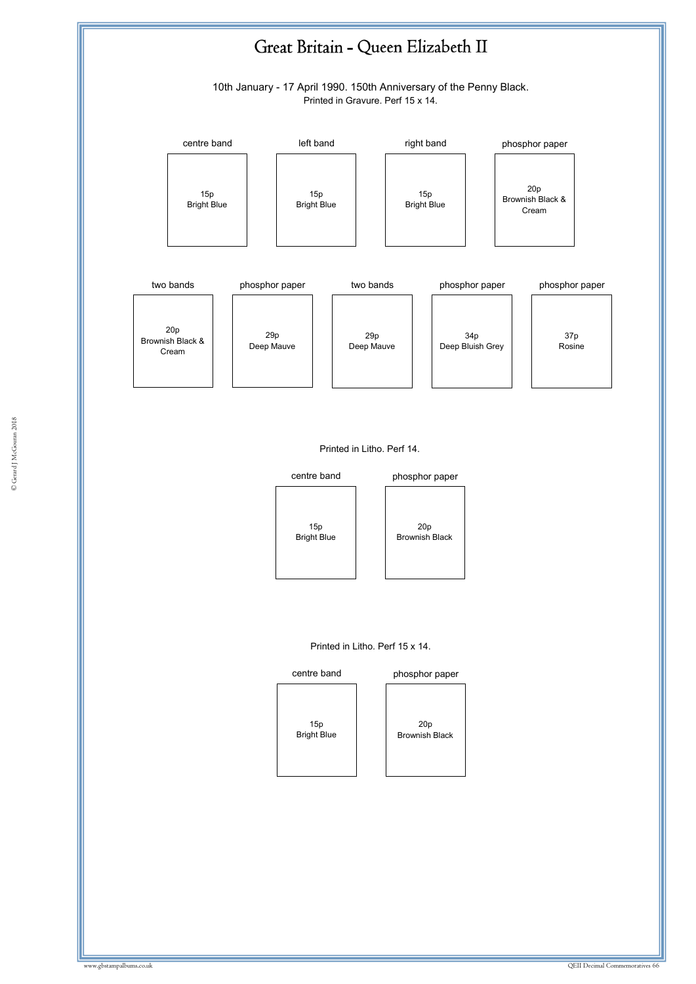

#### Printed in Litho. Perf 14.

Deep Mauve



Deep Mauve



Deep Bluish Grey

Rosine

#### Printed in Litho. Perf 15 x 14.

### centre band



20p Brownish Black phosphor paper

Cream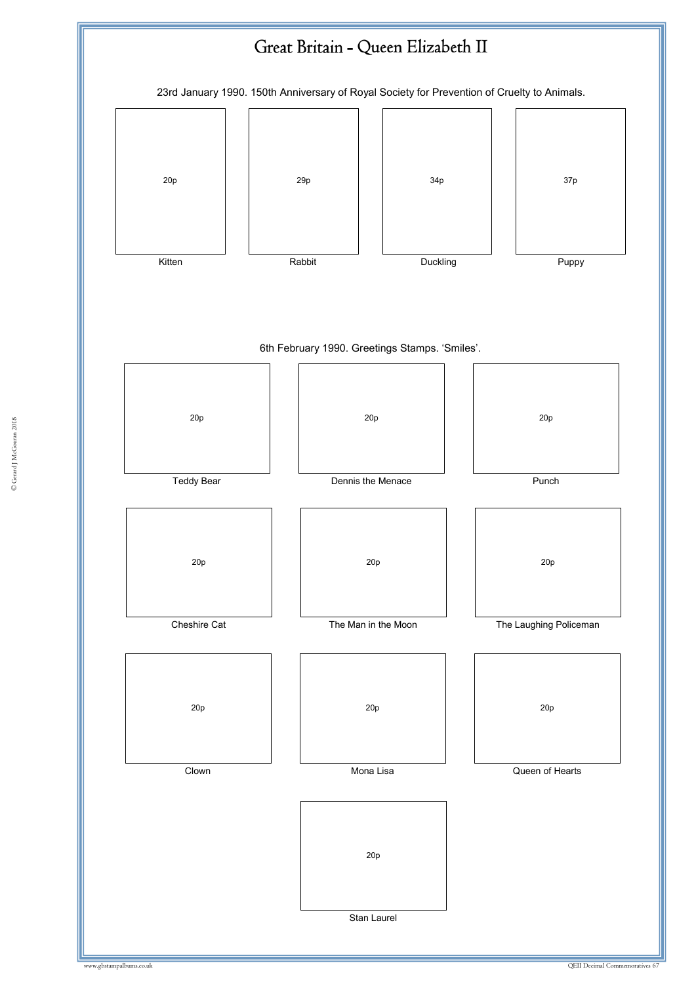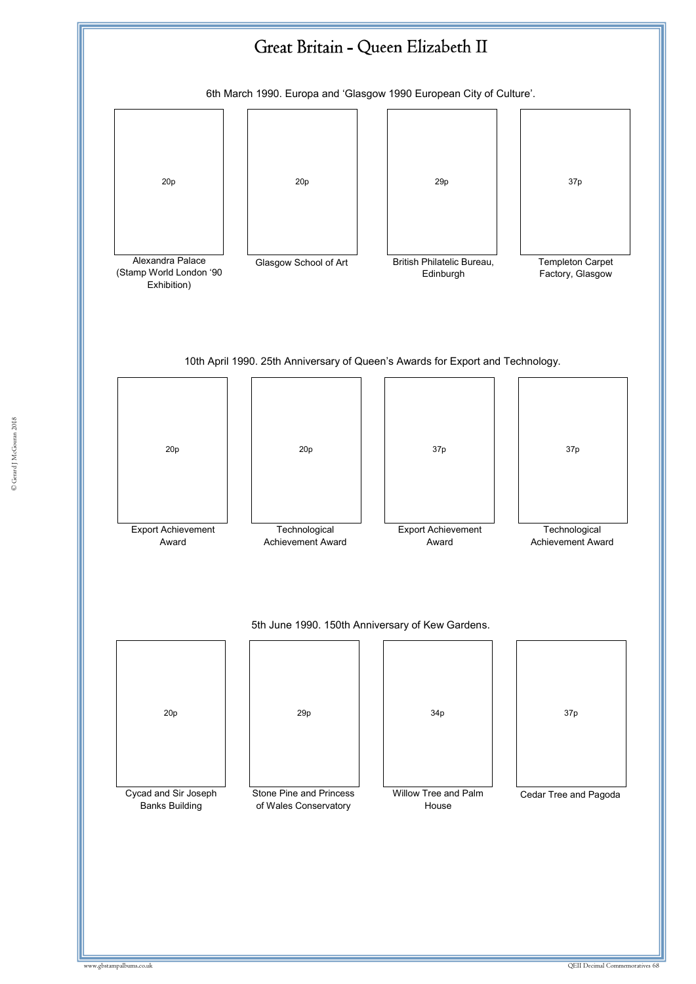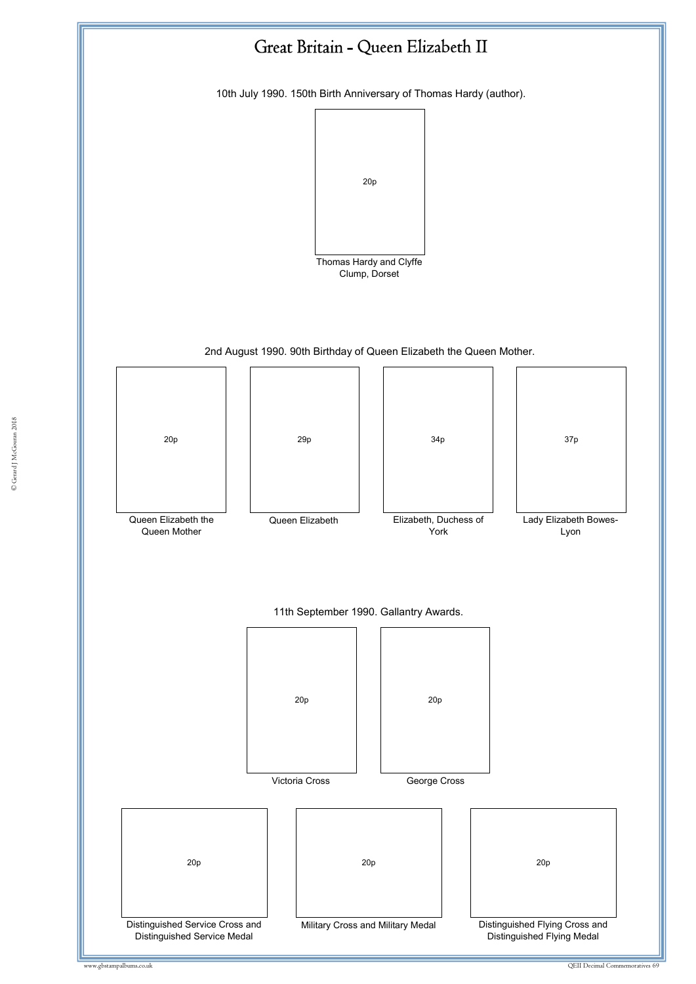

© Gerard J McGouran 2018 © Gerard J McGouran 2018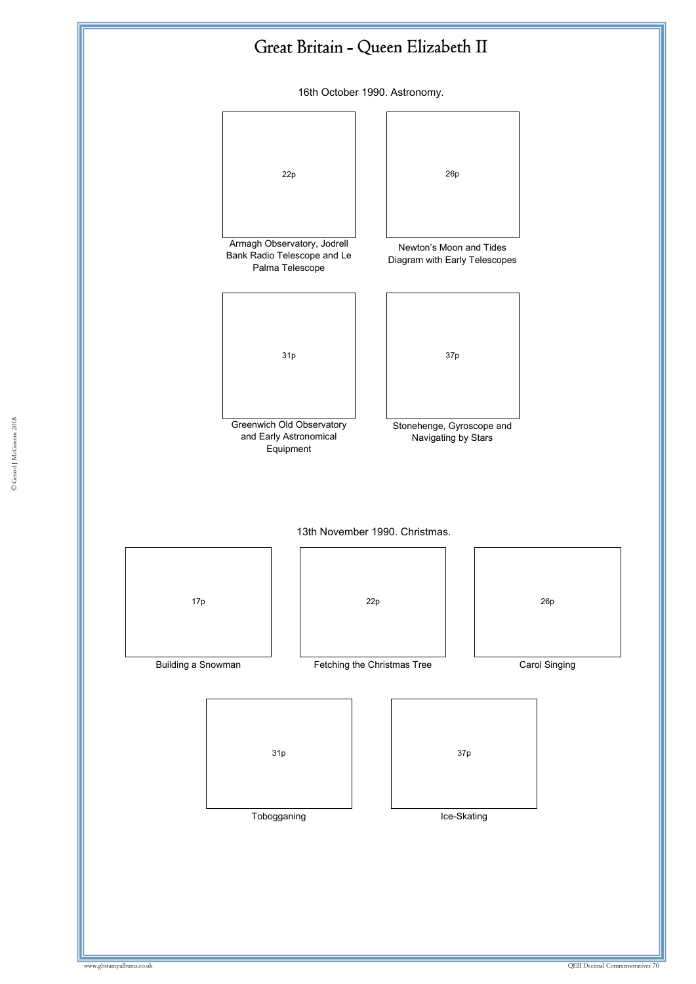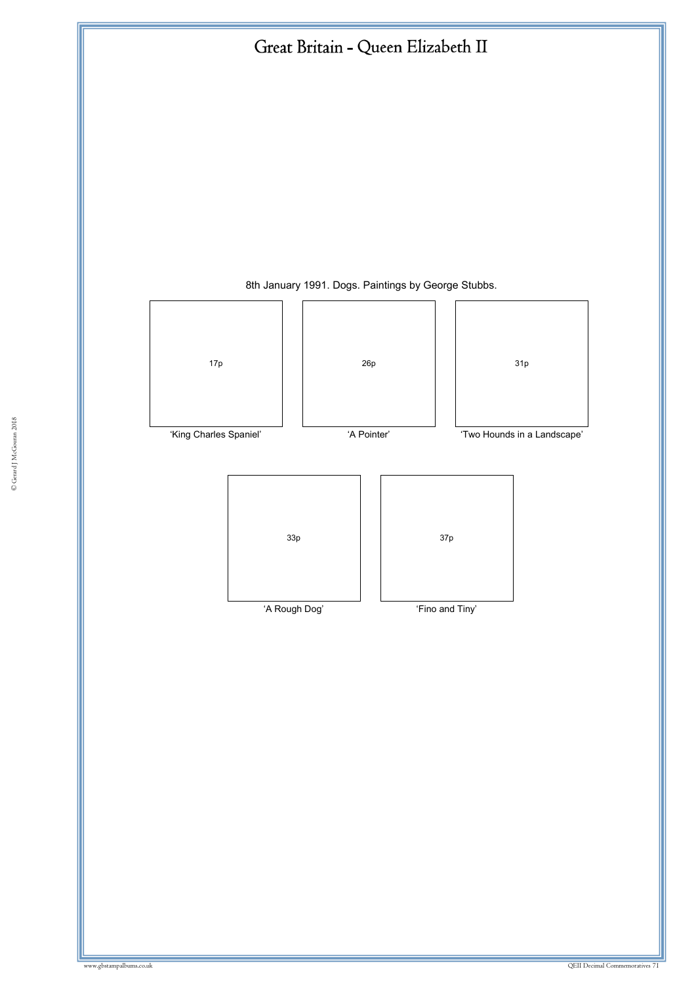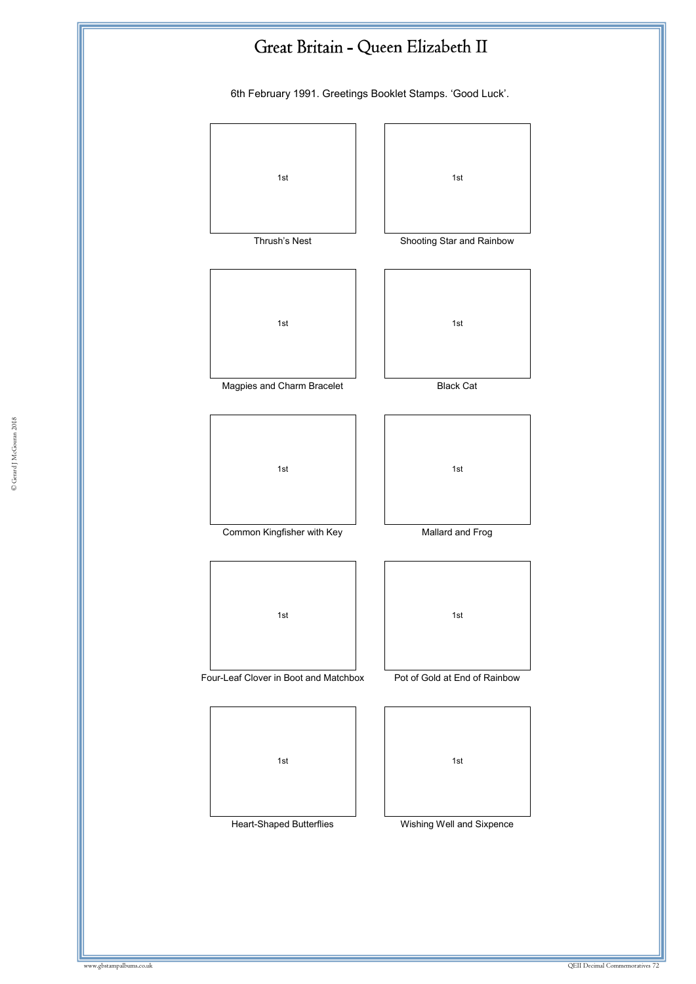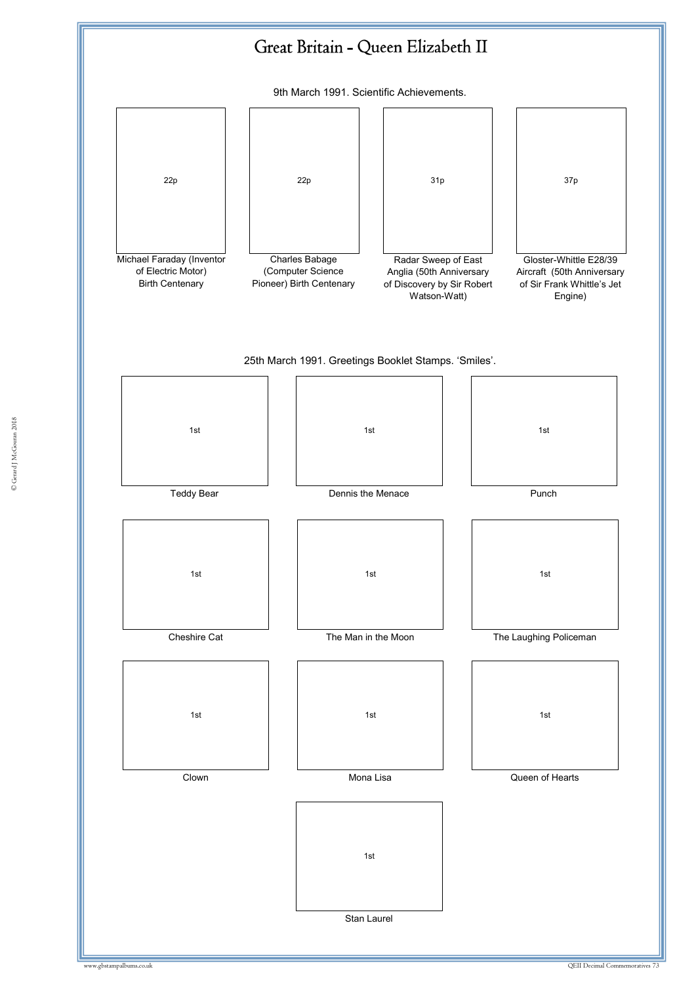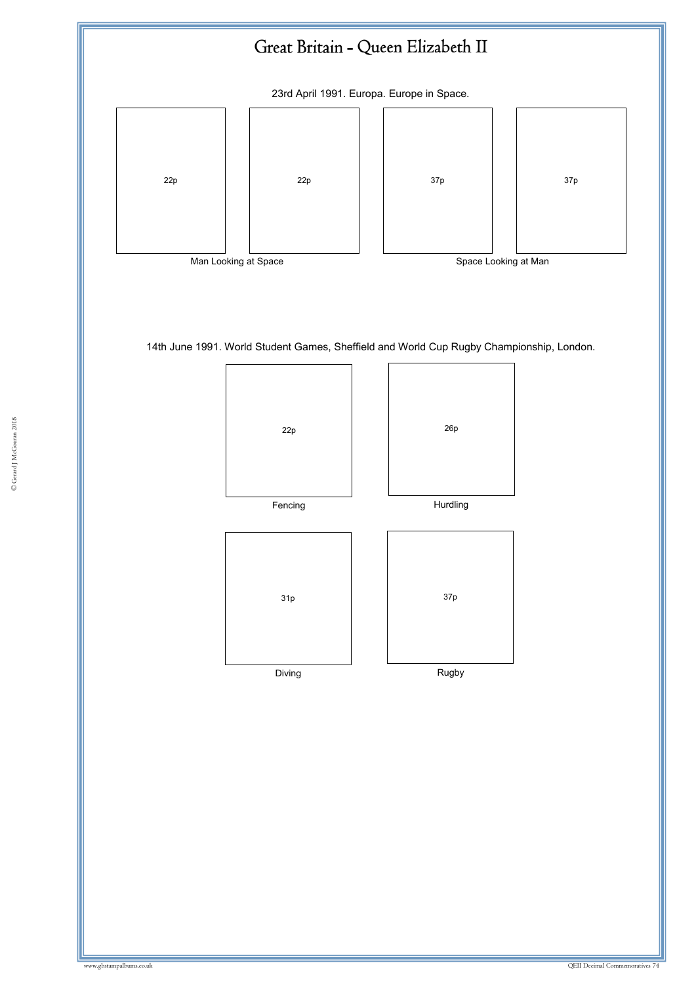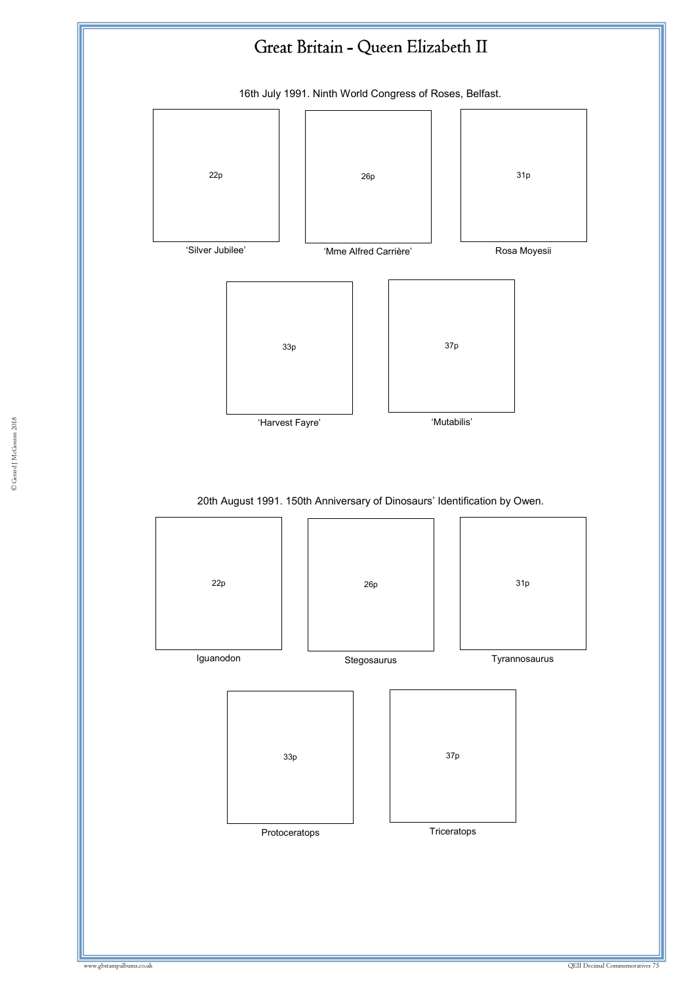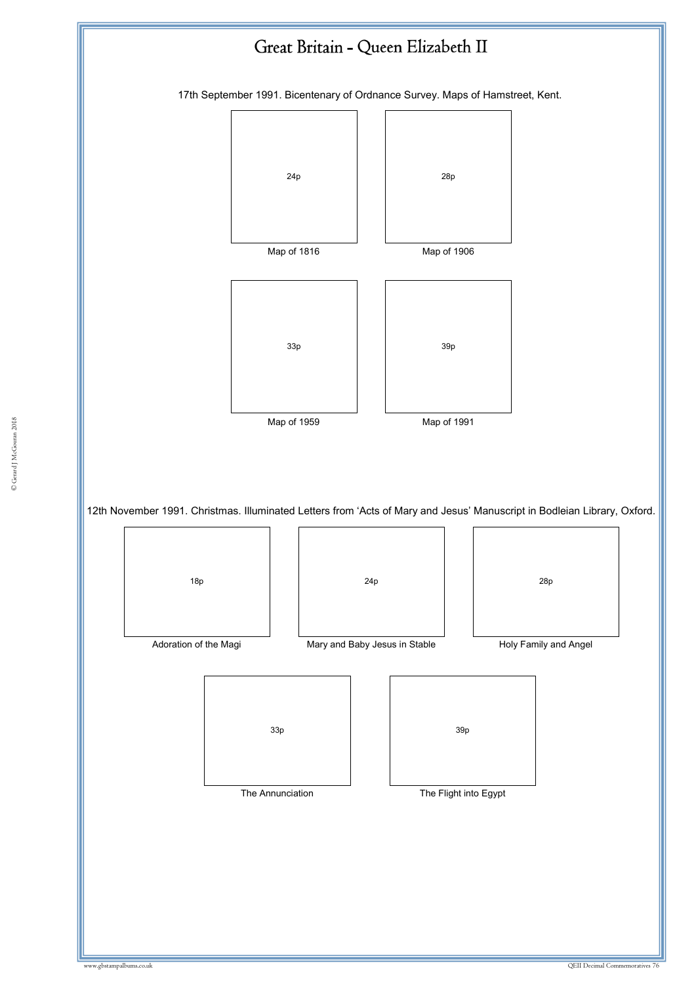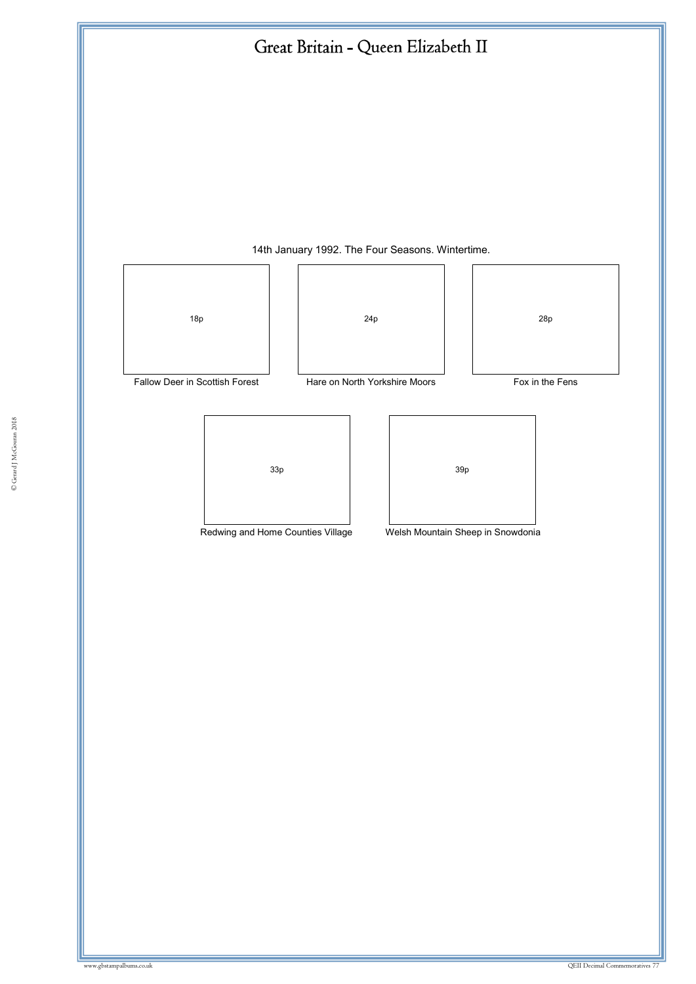

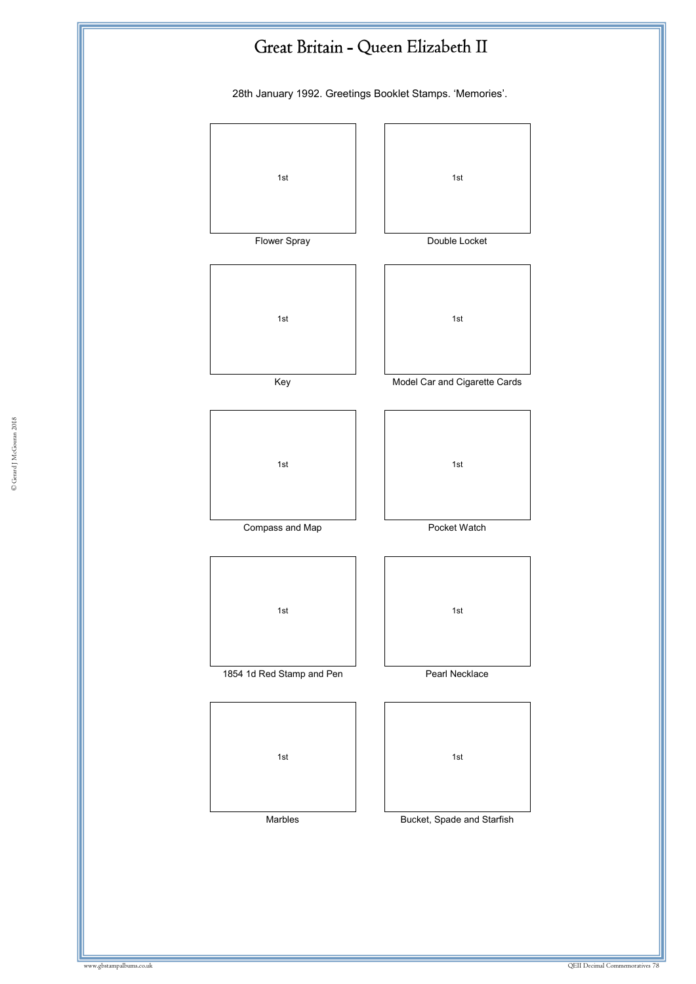

28th January 1992. Greetings Booklet Stamps. 'Memories'.

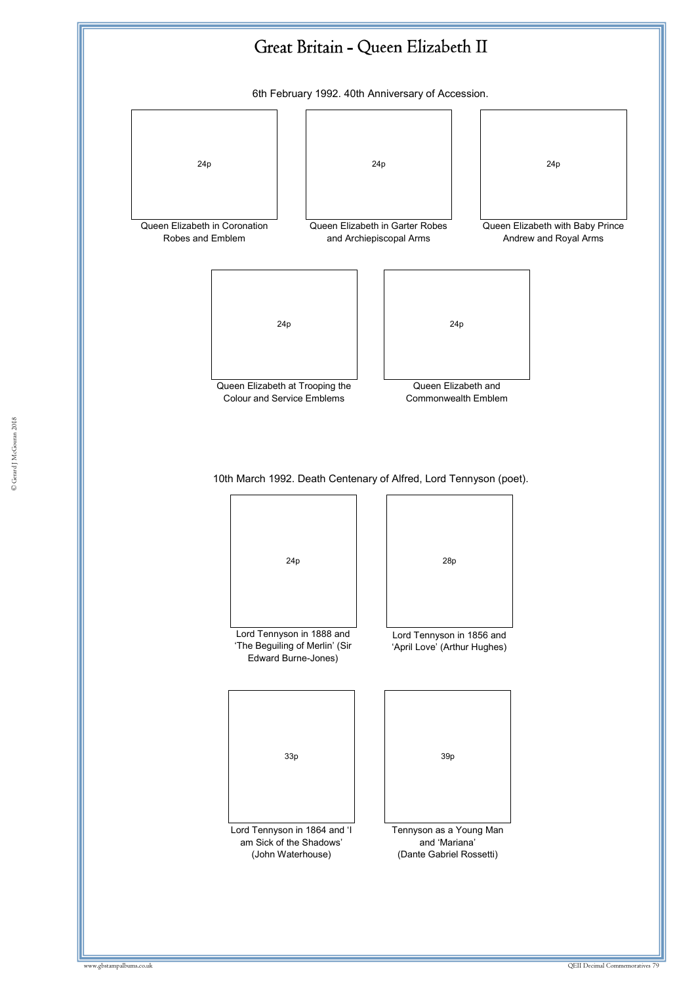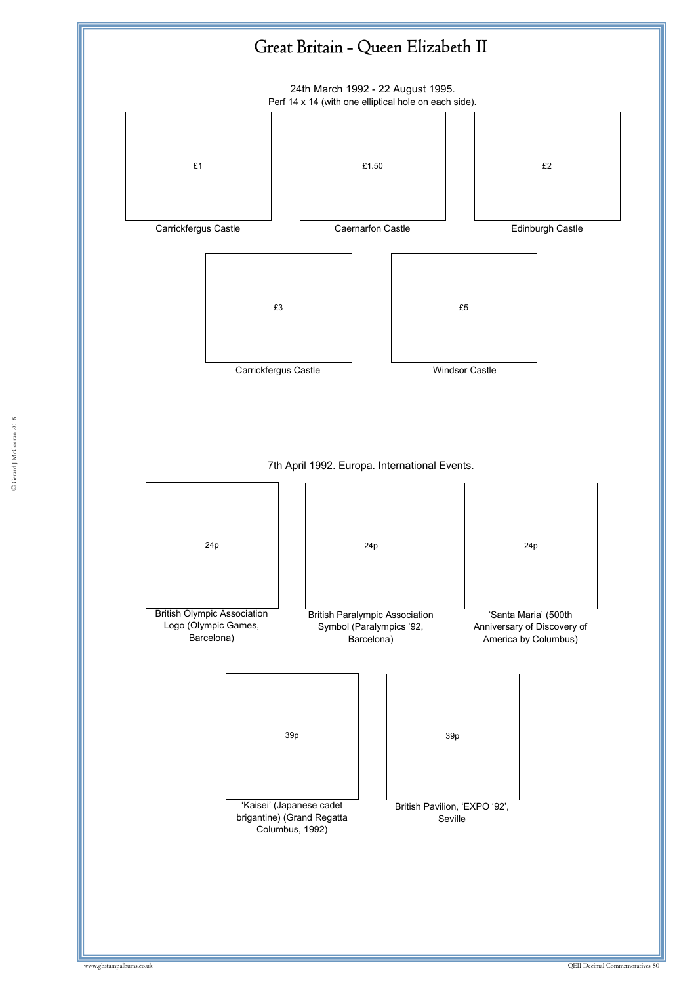

© Gerard J McGouran 2018 © Gerard J McGouran 2018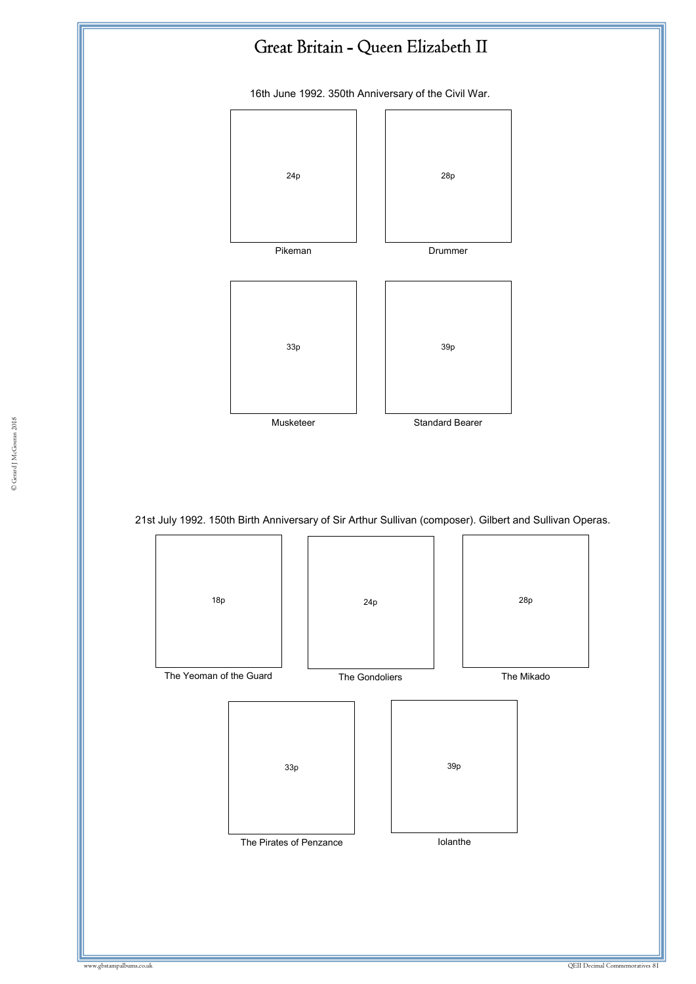

16th June 1992. 350th Anniversary of the Civil War.





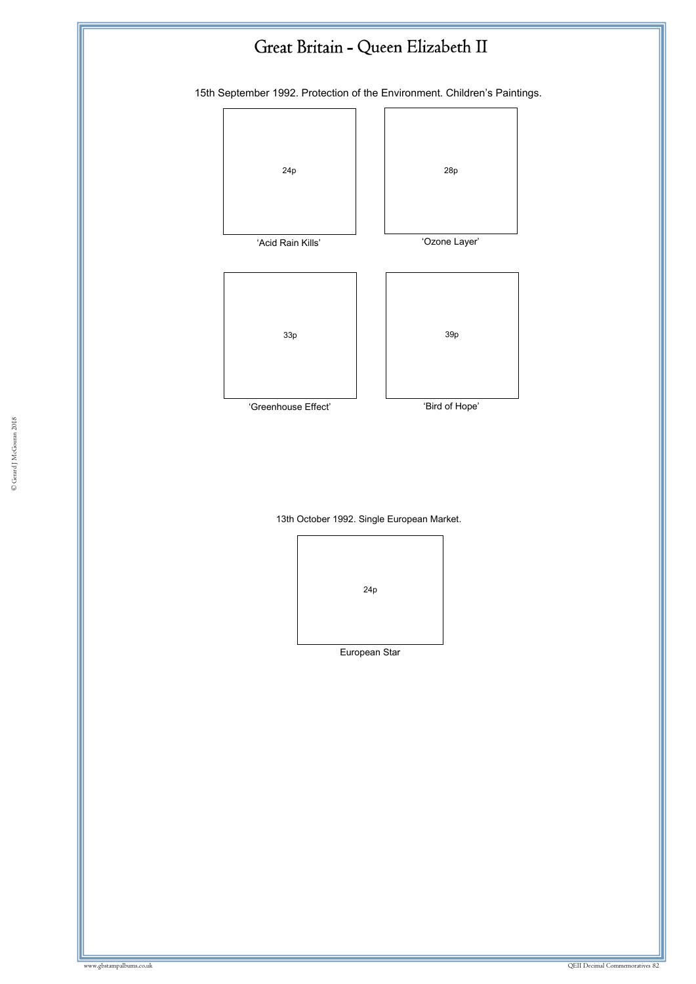## Great Britain - Queen Elizabeth II

15th September 1992. Protection of the Environment. Children's Paintings.



13th October 1992. Single European Market.



European Star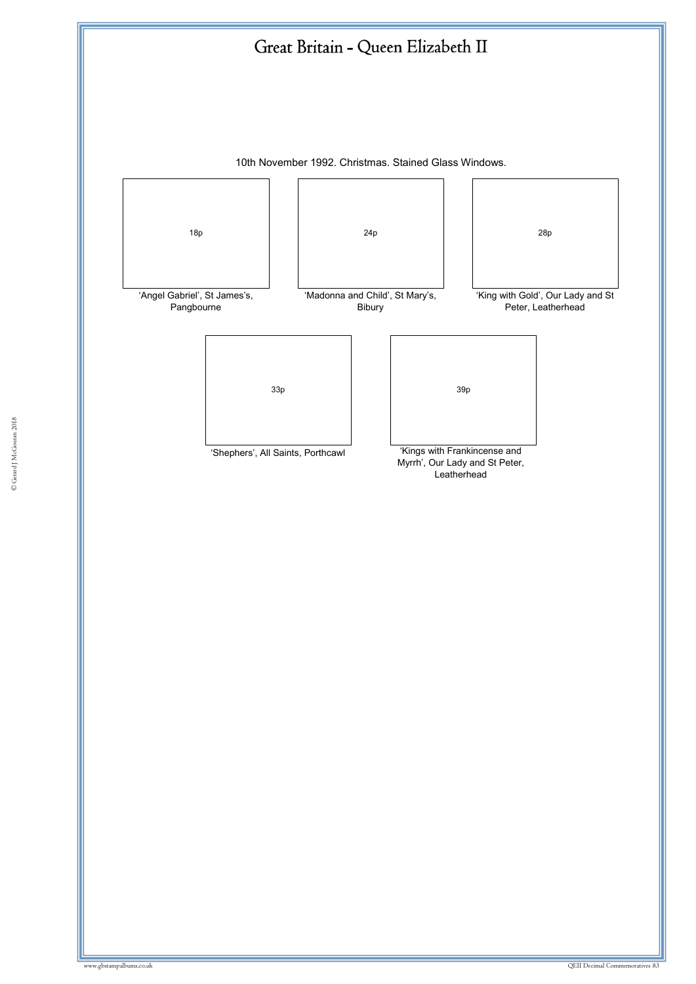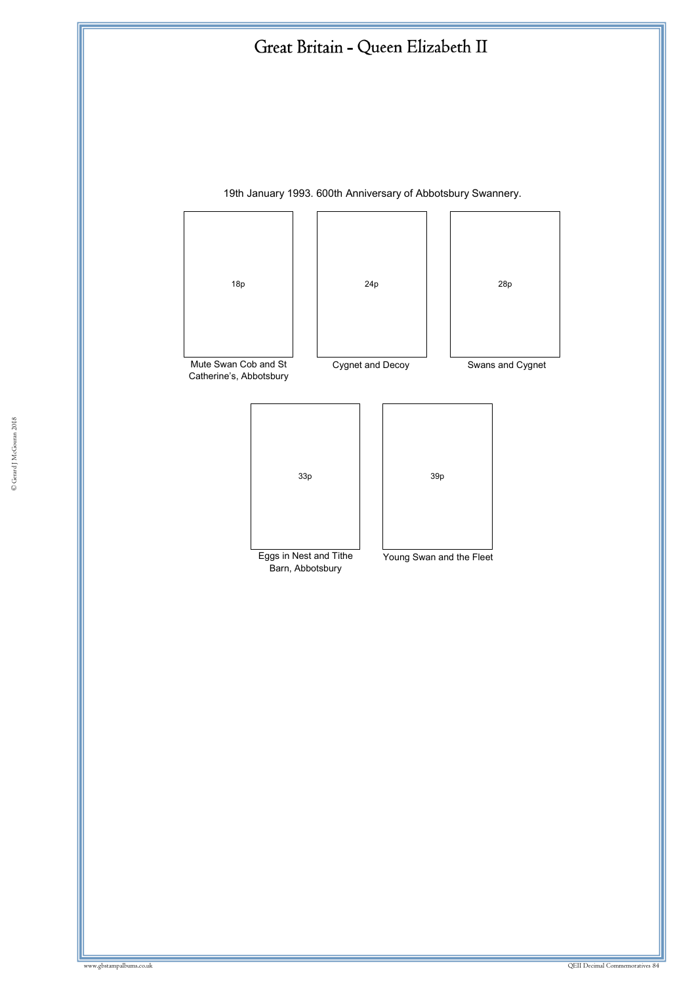## Great Britain - Queen Elizabeth II



19th January 1993. 600th Anniversary of Abbotsbury Swannery.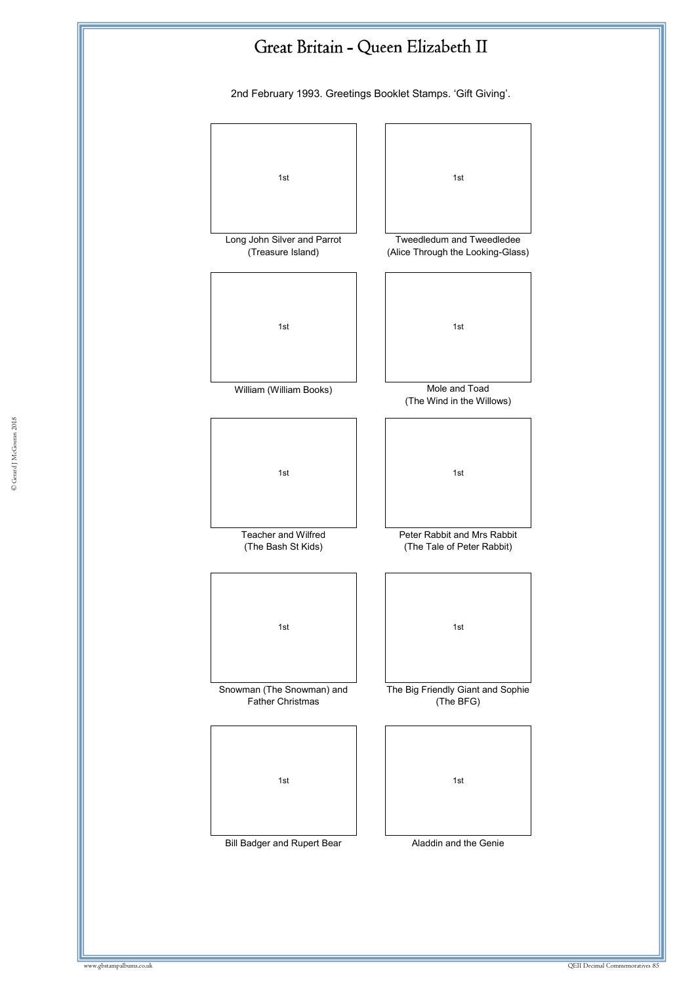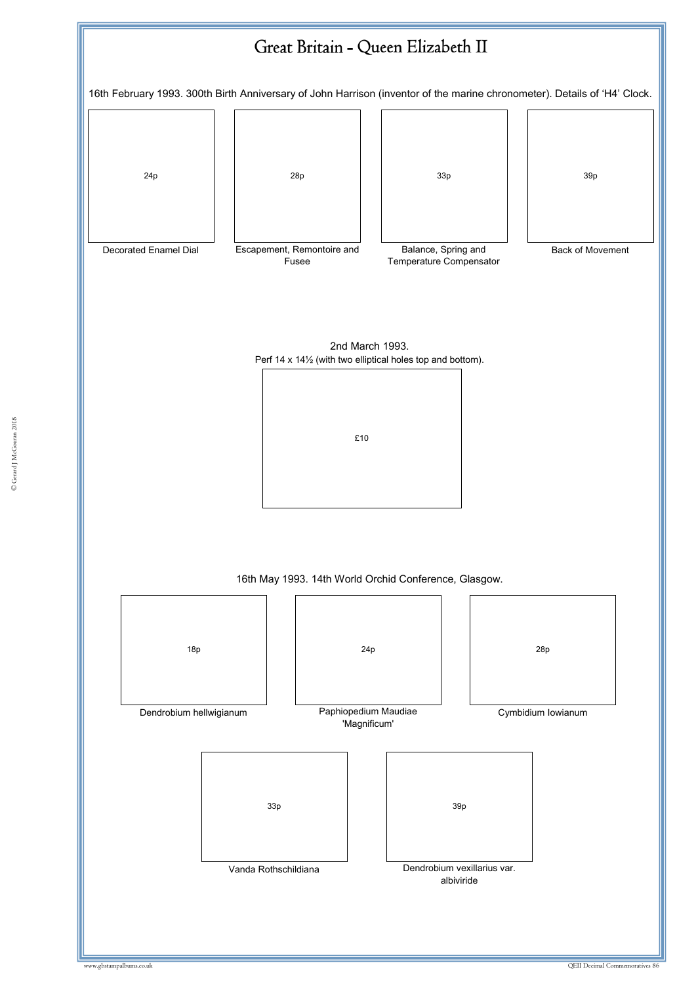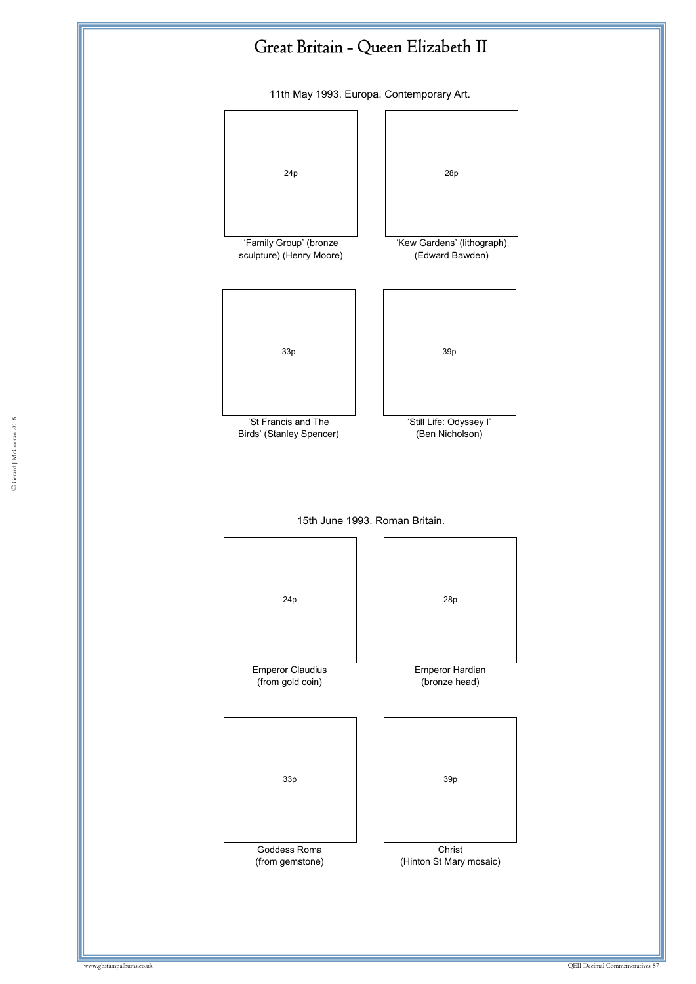

11th May 1993. Europa. Contemporary Art.







© Gerard J McGouran 2018 © Gerard J McGouran 2018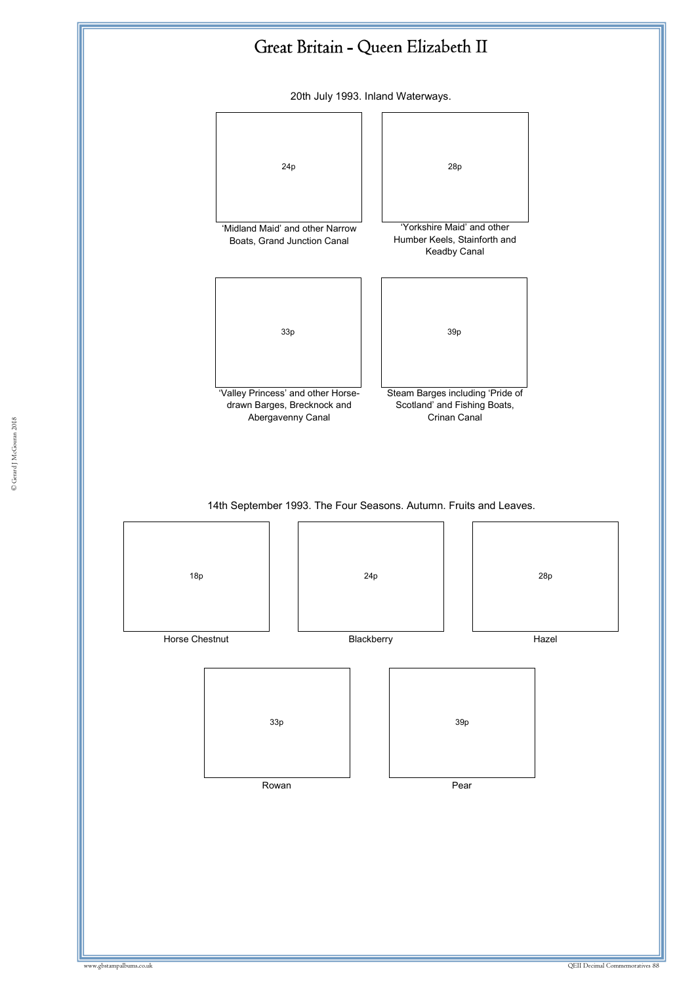

20th July 1993. Inland Waterways.

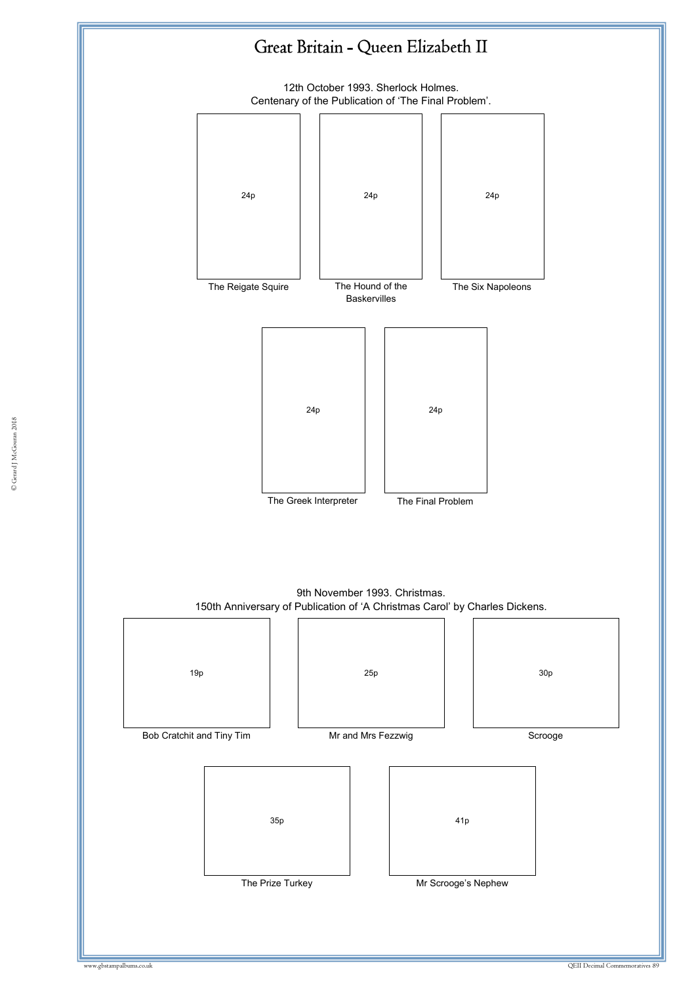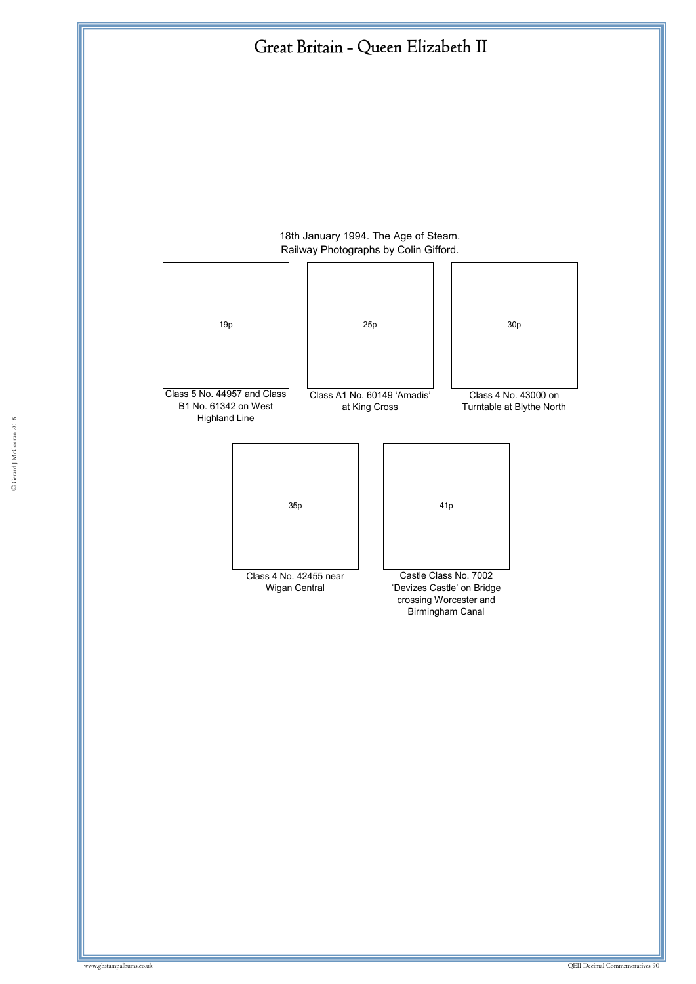

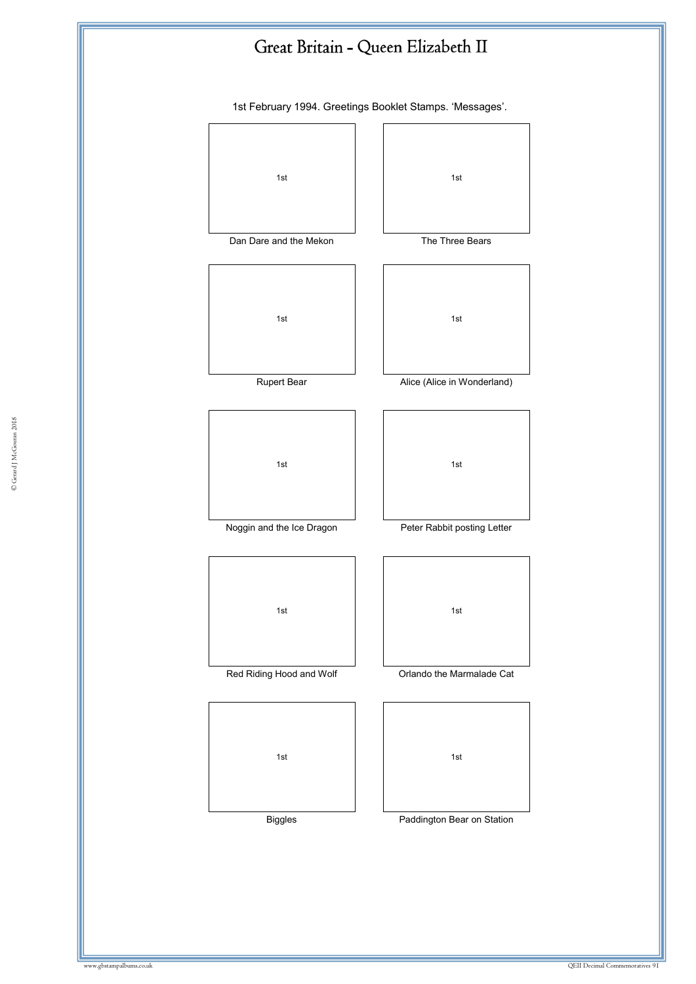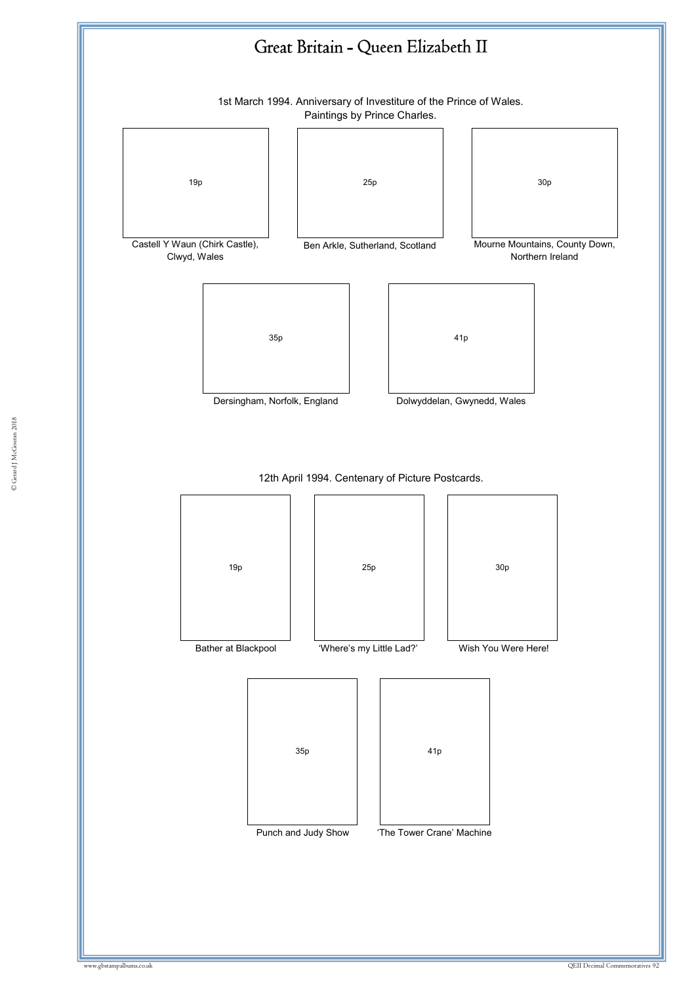

© Gerard J McGouran 2018 © Gerard J McGouran 2018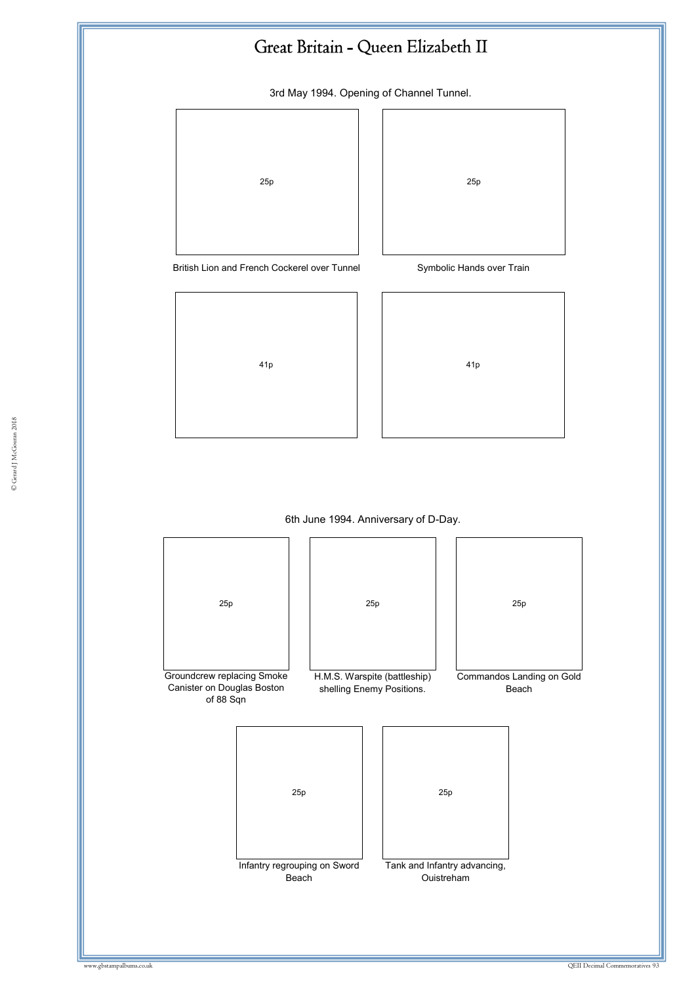## Great Britain - Queen Elizabeth II

3rd May 1994. Opening of Channel Tunnel.





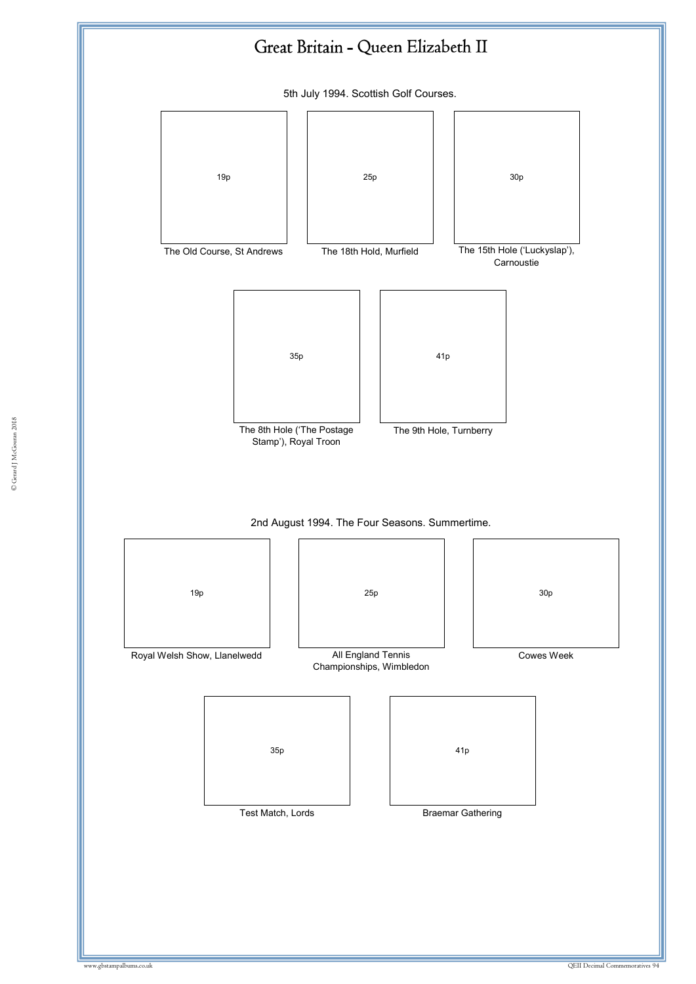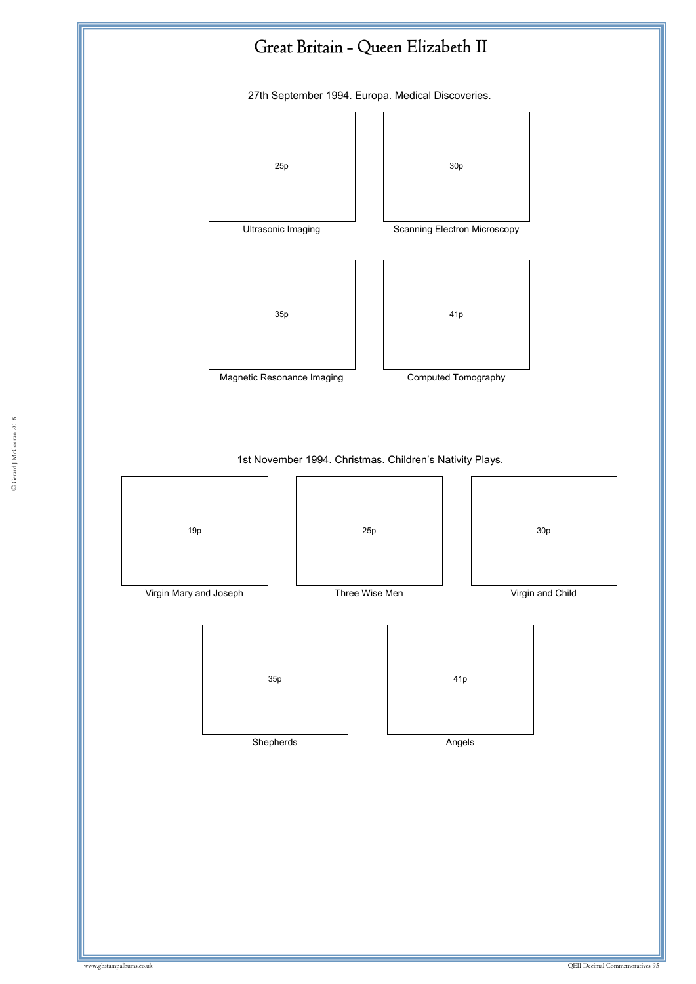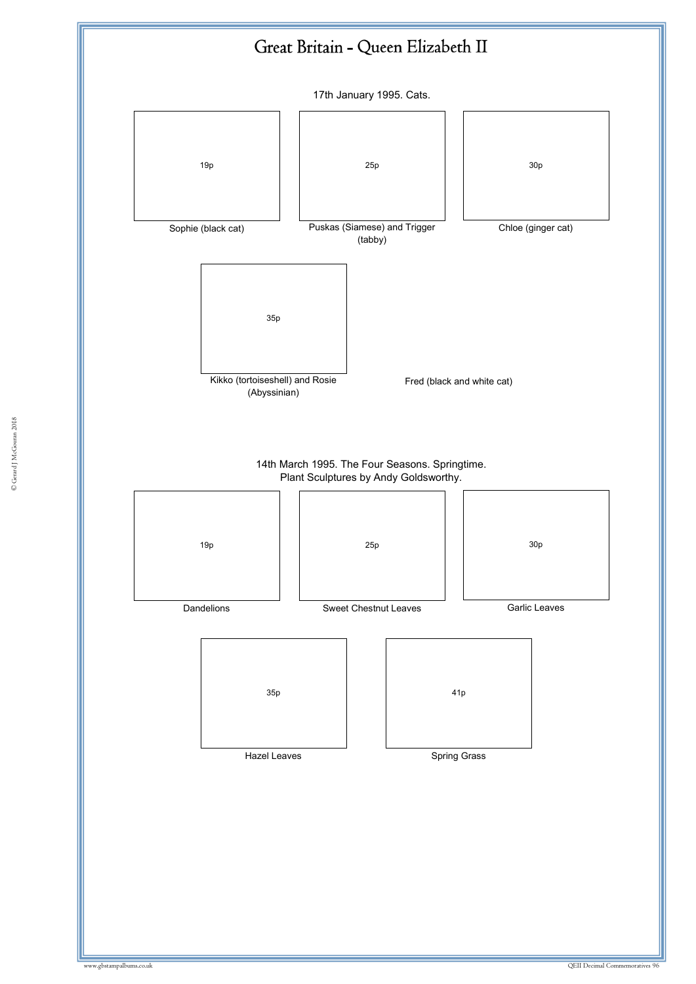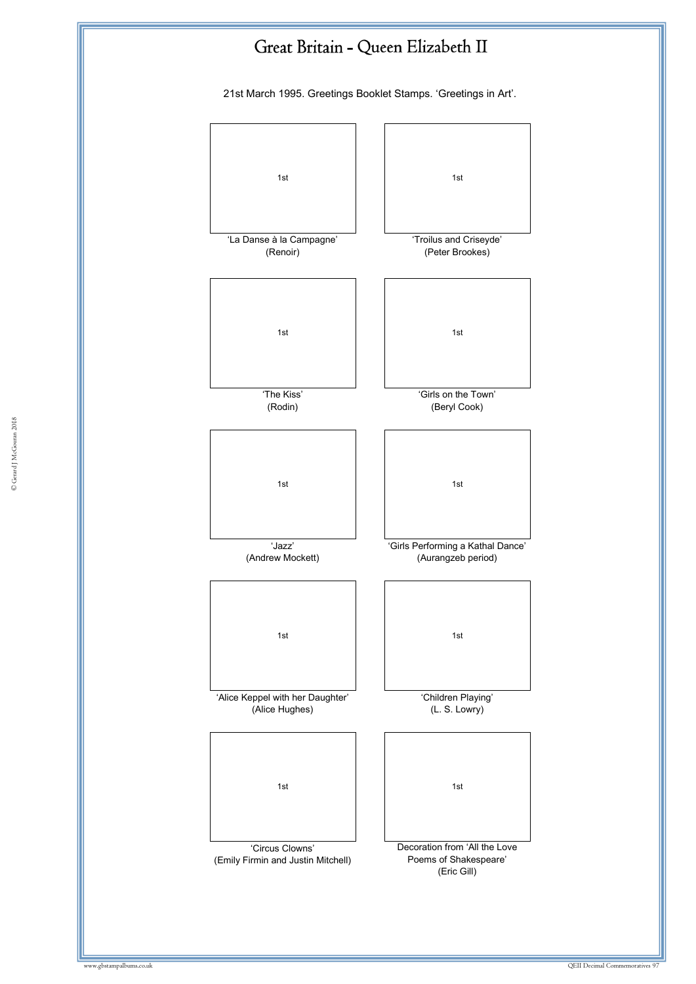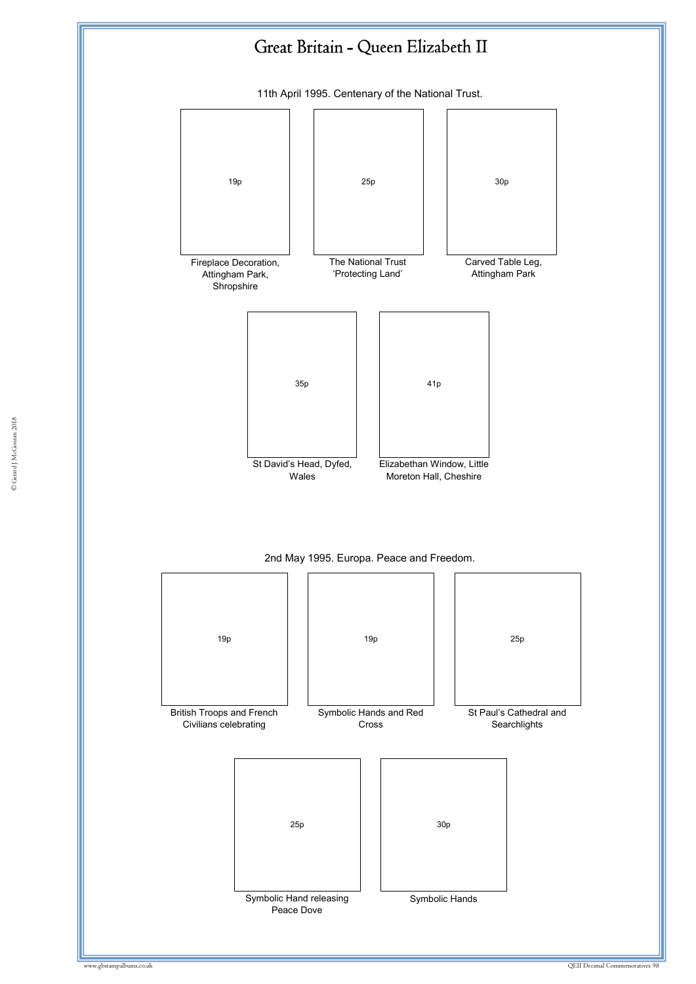

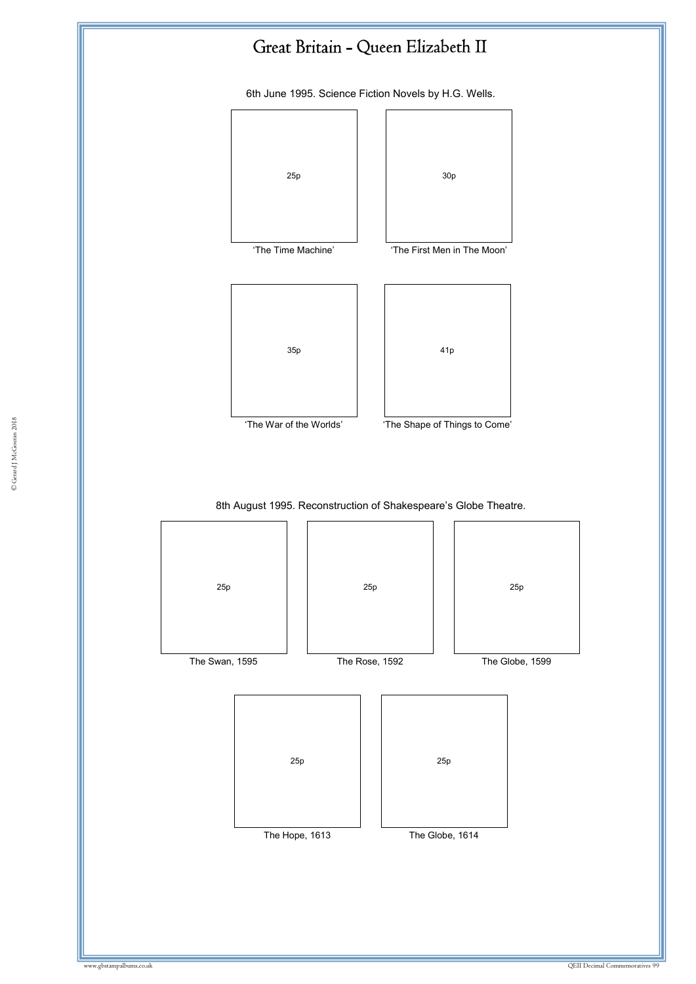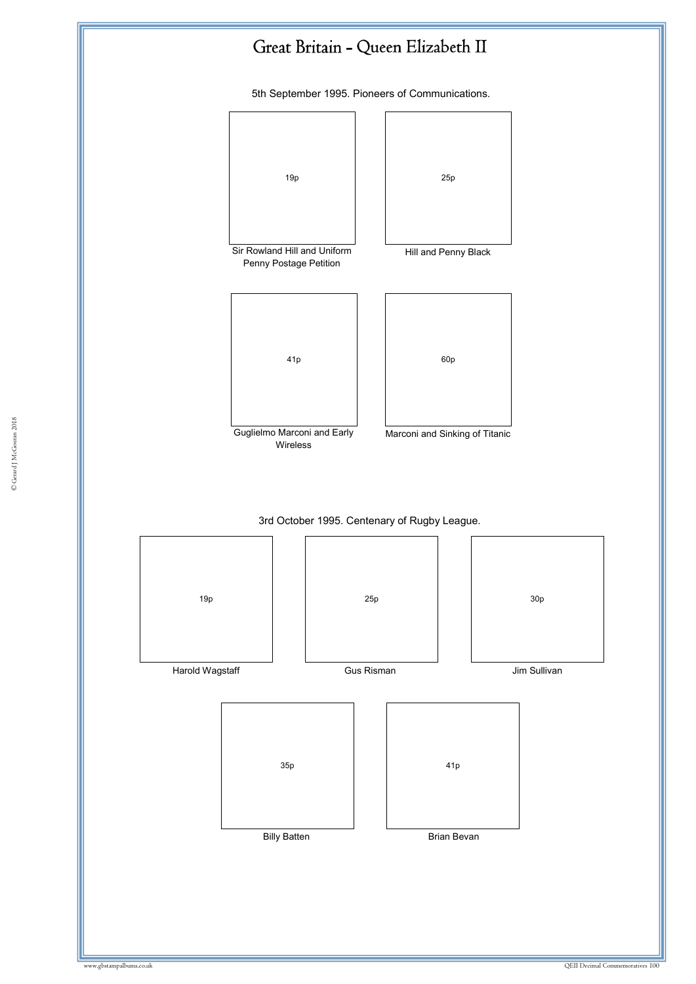